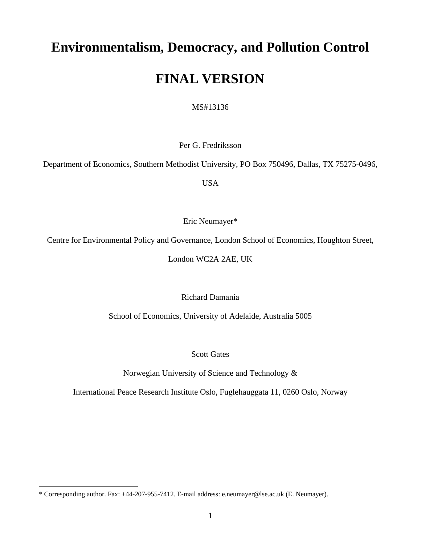# **Environmentalism, Democracy, and Pollution Control**

## **FINAL VERSION**

MS#13136

Per G. Fredriksson

Department of Economics, Southern Methodist University, PO Box 750496, Dallas, TX 75275-0496,

USA

Eric Neumayer[\\*](#page-0-0)

Centre for Environmental Policy and Governance, London School of Economics, Houghton Street,

London WC2A 2AE, UK

Richard Damania

School of Economics, University of Adelaide, Australia 5005

Scott Gates

Norwegian University of Science and Technology &

International Peace Research Institute Oslo, Fuglehauggata 11, 0260 Oslo, Norway

<span id="page-0-0"></span><sup>\*</sup> Corresponding author. Fax: +44-207-955-7412. E-mail address: e.neumayer@lse.ac.uk (E. Neumayer).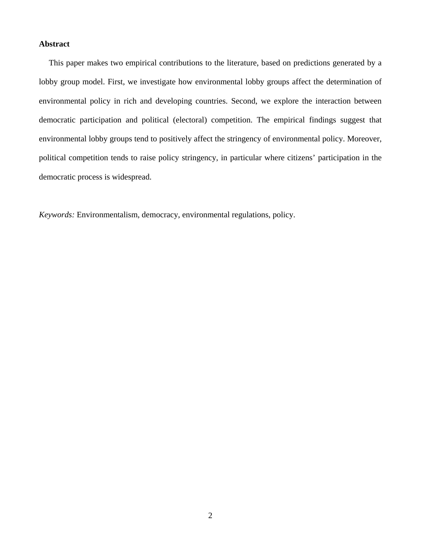## **Abstract**

This paper makes two empirical contributions to the literature, based on predictions generated by a lobby group model. First, we investigate how environmental lobby groups affect the determination of environmental policy in rich and developing countries. Second, we explore the interaction between democratic participation and political (electoral) competition. The empirical findings suggest that environmental lobby groups tend to positively affect the stringency of environmental policy. Moreover, political competition tends to raise policy stringency, in particular where citizens' participation in the democratic process is widespread.

*Keywords:* Environmentalism, democracy, environmental regulations, policy.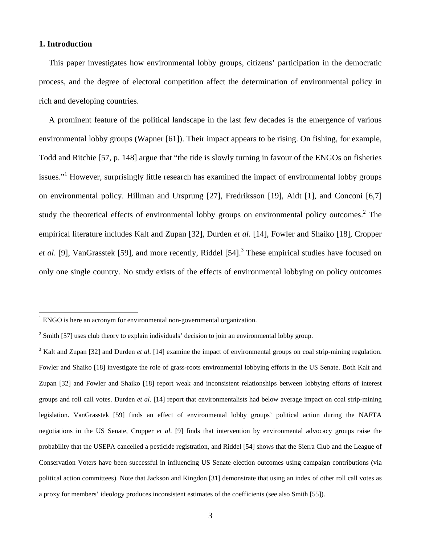## **1. Introduction**

 $\overline{a}$ 

This paper investigates how environmental lobby groups, citizens' participation in the democratic process, and the degree of electoral competition affect the determination of environmental policy in rich and developing countries.

A prominent feature of the political landscape in the last few decades is the emergence of various environmental lobby groups (Wapner [61]). Their impact appears to be rising. On fishing, for example, Todd and Ritchie [57, p. 148] argue that "the tide is slowly turning in favour of the ENGOs on fisheries issues."<sup>[1](#page-2-0)</sup> However, surprisingly little research has examined the impact of environmental lobby groups on environmental policy. Hillman and Ursprung [27], Fredriksson [19], Aidt [1], and Conconi [6,7] studythe theoretical effects of environmental lobby groups on environmental policy outcomes.<sup>2</sup> The empirical literature includes Kalt and Zupan [32], Durden *et al*. [14], Fowler and Shaiko [18], Cropper et al. [9], VanGrasstek [59], and more recently, Riddel [54].<sup>[3](#page-2-2)</sup> These empirical studies have focused on only one single country. No study exists of the effects of environmental lobbying on policy outcomes

<span id="page-2-0"></span><sup>&</sup>lt;sup>1</sup> ENGO is here an acronym for environmental non-governmental organization.

<span id="page-2-1"></span> $2 \text{ Smith } [57]$  uses club theory to explain individuals' decision to join an environmental lobby group.

<span id="page-2-2"></span><sup>&</sup>lt;sup>3</sup> Kalt and Zupan [32] and Durden *et al*. [14] examine the impact of environmental groups on coal strip-mining regulation. Fowler and Shaiko [18] investigate the role of grass-roots environmental lobbying efforts in the US Senate. Both Kalt and Zupan [32] and Fowler and Shaiko [18] report weak and inconsistent relationships between lobbying efforts of interest groups and roll call votes. Durden *et al*. [14] report that environmentalists had below average impact on coal strip-mining legislation. VanGrasstek [59] finds an effect of environmental lobby groups' political action during the NAFTA negotiations in the US Senate, Cropper *et al*. [9] finds that intervention by environmental advocacy groups raise the probability that the USEPA cancelled a pesticide registration, and Riddel [54] shows that the Sierra Club and the League of Conservation Voters have been successful in influencing US Senate election outcomes using campaign contributions (via political action committees). Note that Jackson and Kingdon [31] demonstrate that using an index of other roll call votes as a proxy for members' ideology produces inconsistent estimates of the coefficients (see also Smith [55]).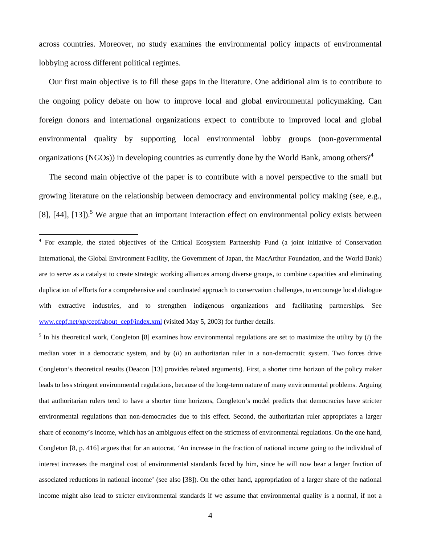<span id="page-3-1"></span>across countries. Moreover, no study examines the environmental policy impacts of environmental lobbying across different political regimes.

Our first main objective is to fill these gaps in the literature. One additional aim is to contribute to the ongoing policy debate on how to improve local and global environmental policymaking. Can foreign donors and international organizations expect to contribute to improved local and global environmental quality by supporting local environmental lobby groups (non-governmental organizations (NGOs)) in developing countries as currently done by the World Bank, among others?<sup>[4](#page-3-0)</sup>

The second main objective of the paper is to contribute with a novel perspective to the small but growing literature on the relationship between democracy and environmental policy making (see, e.g., [8], [44], [13]).<sup>5</sup> We argue that an important interaction effect on environmental policy exists between

 $\overline{a}$ 

 $<sup>5</sup>$  In his theoretical work, Congleton [8] examines how environmental regulations are set to maximize the utility by (*i*) the</sup> median voter in a democratic system, and by (*ii*) an authoritarian ruler in a non-democratic system. Two forces drive Congleton's theoretical results (Deacon [13] provides related arguments). First, a shorter time horizon of the policy maker leads to less stringent environmental regulations, because of the long-term nature of many environmental problems. Arguing that authoritarian rulers tend to have a shorter time horizons, Congleton's model predicts that democracies have stricter environmental regulations than non-democracies due to this effect. Second, the authoritarian ruler appropriates a larger share of economy's income, which has an ambiguous effect on the strictness of environmental regulations. On the one hand, Congleton [8, p. 416] argues that for an autocrat, 'An increase in the fraction of national income going to the individual of interest increases the marginal cost of environmental standards faced by him, since he will now bear a larger fraction of associated reductions in national income' (see also [38]). On the other hand, appropriation of a larger share of the national income might also lead to stricter environmental standards if we assume that environmental quality is a normal, if not a

<span id="page-3-0"></span><sup>&</sup>lt;sup>4</sup> For example, the stated objectives of the Critical Ecosystem Partnership Fund (a joint initiative of Conservation International, the Global Environment Facility, the Government of Japan, the MacArthur Foundation, and the World Bank) are to serve as a catalyst to create strategic working alliances among diverse groups, to combine capacities and eliminating duplication of efforts for a comprehensive and coordinated approach to conservation challenges, to encourage local dialogue with extractive industries, and to strengthen indigenous organizations and facilitating partnerships. See [www.cepf.net/xp/cepf/about\\_cepf/index.xml](http://www.cepf.net/xp/cepf/about_cepf/index.xml) (visited May 5, 2003) for further details.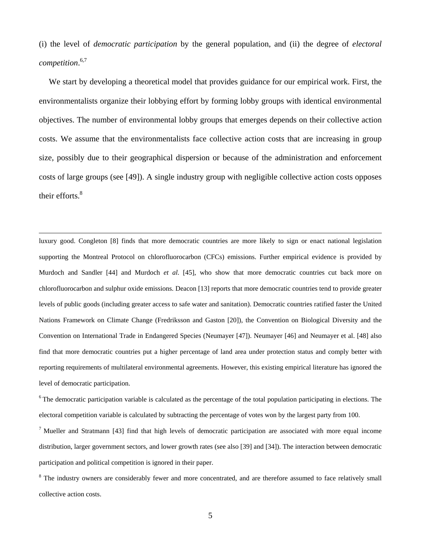(i) the level of *democratic participation* by the general population, and (ii) the degree of *electoral competition*. [6,](#page-4-0)[7](#page-4-1)

We start by developing a theoretical model that provides guidance for our empirical work. First, the environmentalists organize their lobbying effort by forming lobby groups with identical environmental objectives. The number of environmental lobby groups that emerges depends on their collective action costs. We assume that the environmentalists face collective action costs that are increasing in group size, possibly due to their geographical dispersion or because of the administration and enforcement costs of large groups (see [49]). A single industry group with negligible collective action costs opposes their efforts.<sup>8</sup>

 luxury good. Congleton [8] finds that more democratic countries are more likely to sign or enact national legislation supporting the Montreal Protocol on chlorofluorocarbon (CFCs) emissions. Further empirical evidence is provided by Murdoch and Sandler [44] and Murdoch *et al*. [45], who show that more democratic countries cut back more on chlorofluorocarbon and sulphur oxide emissions. Deacon [13] reports that more democratic countries tend to provide greater levels of public goods (including greater access to safe water and sanitation). Democratic countries ratified faster the United Nations Framework on Climate Change (Fredriksson and Gaston [20]), the Convention on Biological Diversity and the Convention on International Trade in Endangered Species (Neumayer [47]). Neumayer [46] and Neumayer et al. [48] also find that more democratic countries put a higher percentage of land area under protection status and comply better with reporting requirements of multilateral environmental agreements. However, this existing empirical literature has ignored the level of democratic participation.

<span id="page-4-0"></span> $6$  The democratic participation variable is calculated as the percentage of the total population participating in elections. The electoral competition variable is calculated by subtracting the percentage of votes won by the largest party from 100.

<span id="page-4-1"></span><sup>7</sup> Mueller and Stratmann [43] find that high levels of democratic participation are associated with more equal income distribution, larger government sectors, and lower growth rates (see also [39] and [34]). The interaction between democratic participation and political competition is ignored in their paper.

<span id="page-4-2"></span><sup>8</sup> The industry owners are considerably fewer and more concentrated, and are therefore assumed to face relatively small collective action costs.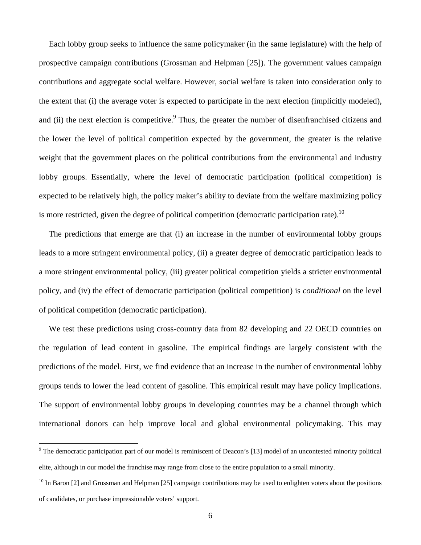Each lobby group seeks to influence the same policymaker (in the same legislature) with the help of prospective campaign contributions (Grossman and Helpman [25]). The government values campaign contributions and aggregate social welfare. However, social welfare is taken into consideration only to the extent that (i) the average voter is expected to participate in the next election (implicitly modeled), and (ii) the next election is competitive. Thus, the greater the number of disenfranchised citizens and the lower the level of political competition expected by the government, the greater is the relative weight that the government places on the political contributions from the environmental and industry lobby groups. Essentially, where the level of democratic participation (political competition) is expected to be relatively high, the policy maker's ability to deviate from the welfare maximizing policy is more restricted, given the degree of political competition (democratic participation rate).<sup>10</sup>

The predictions that emerge are that (i) an increase in the number of environmental lobby groups leads to a more stringent environmental policy, (ii) a greater degree of democratic participation leads to a more stringent environmental policy, (iii) greater political competition yields a stricter environmental policy, and (iv) the effect of democratic participation (political competition) is *conditional* on the level of political competition (democratic participation).

We test these predictions using cross-country data from 82 developing and 22 OECD countries on the regulation of lead content in gasoline. The empirical findings are largely consistent with the predictions of the model. First, we find evidence that an increase in the number of environmental lobby groups tends to lower the lead content of gasoline. This empirical result may have policy implications. The support of environmental lobby groups in developing countries may be a channel through which international donors can help improve local and global environmental policymaking. This may

<span id="page-5-0"></span><sup>&</sup>lt;sup>9</sup> The democratic participation part of our model is reminiscent of Deacon's [13] model of an uncontested minority political elite, although in our model the franchise may range from close to the entire population to a small minority.

<span id="page-5-1"></span> $^{10}$  In Baron [2] and Grossman and Helpman [25] campaign contributions may be used to enlighten voters about the positions of candidates, or purchase impressionable voters' support.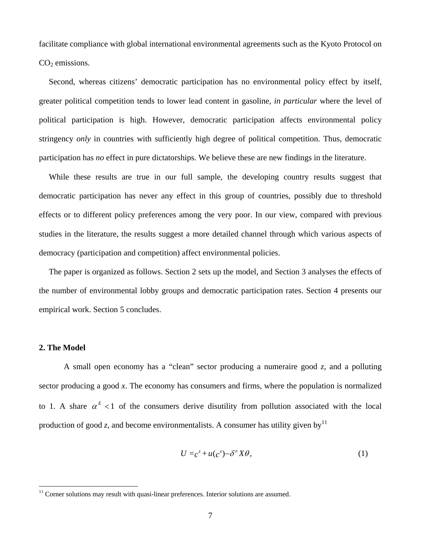facilitate compliance with global international environmental agreements such as the Kyoto Protocol on  $CO<sub>2</sub>$  emissions.

Second, whereas citizens' democratic participation has no environmental policy effect by itself, greater political competition tends to lower lead content in gasoline, *in particular* where the level of political participation is high. However, democratic participation affects environmental policy stringency *only* in countries with sufficiently high degree of political competition. Thus, democratic participation has *no* effect in pure dictatorships. We believe these are new findings in the literature.

While these results are true in our full sample, the developing country results suggest that democratic participation has never any effect in this group of countries, possibly due to threshold effects or to different policy preferences among the very poor. In our view, compared with previous studies in the literature, the results suggest a more detailed channel through which various aspects of democracy (participation and competition) affect environmental policies.

The paper is organized as follows. Section 2 sets up the model, and Section 3 analyses the effects of the number of environmental lobby groups and democratic participation rates. Section 4 presents our empirical work. Section 5 concludes.

#### **2. The Model**

A small open economy has a "clean" sector producing a numeraire good *z*, and a polluting sector producing a good *x*. The economy has consumers and firms, where the population is normalized to 1. A share  $\alpha^E < 1$  of the consumers derive disutility from pollution associated with the local production of good *z*, and become environmentalists. A consumer has utility given by  $11$ 

$$
U = c^z + u(c^x) - \delta^e X \theta,\tag{1}
$$

<span id="page-6-0"></span><sup>&</sup>lt;sup>11</sup> Corner solutions may result with quasi-linear preferences. Interior solutions are assumed.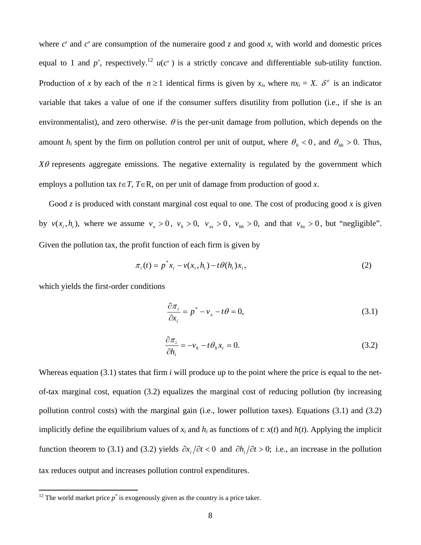where  $c^z$  and  $c^x$  are consumption of the numeraire good *z* and good *x*, with world and domestic prices equal to 1 and  $p^*$ , respectively.<sup>[12](#page-7-0)</sup>  $u(c^*)$  is a strictly concave and differentiable sub-utility function. Production of *x* by each of the  $n \ge 1$  identical firms is given by  $x_i$ , where  $nx_i = X$ .  $\delta^e$  is an indicator variable that takes a value of one if the consumer suffers disutility from pollution (i.e., if she is an environmentalist), and zero otherwise.  $\theta$  is the per-unit damage from pollution, which depends on the amount  $h_i$  spent by the firm on pollution control per unit of output, where  $\theta_h < 0$ , and  $\theta_{hh} > 0$ . Thus,  $X\theta$  represents aggregate emissions. The negative externality is regulated by the government which employs a pollution tax  $t \in T$ ,  $T \in \mathbb{R}$ , on per unit of damage from production of good *x*.

Good *z* is produced with constant marginal cost equal to one. The cost of producing good *x* is given by  $v(x_i, h_i)$ , where we assume  $v_x > 0$ ,  $v_h > 0$ ,  $v_{xx} > 0$ ,  $v_{hh} > 0$ , and that  $v_{hx} > 0$ , but "negligible". Given the pollution tax, the profit function of each firm is given by

$$
\pi_i(t) = p^* x_i - v(x_i, h_i) - t \theta(h_i) x_i,
$$
\n(2)

which yields the first-order conditions

$$
\frac{\partial \pi_i}{\partial x_i} = p^* - v_x - t\theta = 0,\tag{3.1}
$$

$$
\frac{\partial \pi_i}{\partial h_i} = -v_h - t \theta_h x_i = 0.
$$
\n(3.2)

Whereas equation (3.1) states that firm *i* will produce up to the point where the price is equal to the netof-tax marginal cost, equation (3.2) equalizes the marginal cost of reducing pollution (by increasing pollution control costs) with the marginal gain (i.e., lower pollution taxes). Equations (3.1) and (3.2) implicitly define the equilibrium values of  $x_i$  and  $h_i$  as functions of  $t$ :  $x(t)$  and  $h(t)$ . Applying the implicit function theorem to (3.1) and (3.2) yields  $\partial x_i / \partial t < 0$  and  $\partial h_i / \partial t > 0$ ; i.e., an increase in the pollution tax reduces output and increases pollution control expenditures.

<span id="page-7-0"></span><sup>&</sup>lt;sup>12</sup> The world market price  $p^*$  is exogenously given as the country is a price taker.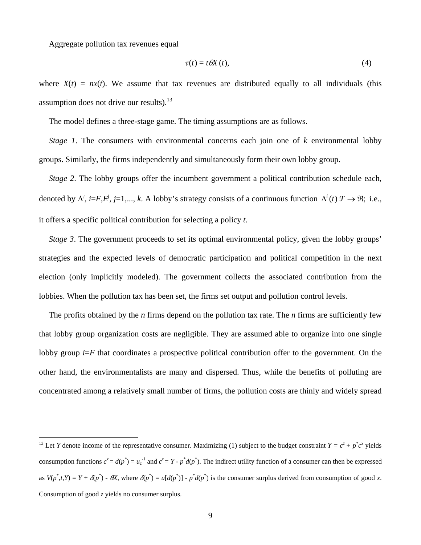Aggregate pollution tax revenues equal

$$
\tau(t) = t \, \theta \! X(t),\tag{4}
$$

where  $X(t) = nx(t)$ . We assume that tax revenues are distributed equally to all individuals (this assumption does not drive our results). $^{13}$ 

The model defines a three-stage game. The timing assumptions are as follows.

*Stage 1*. The consumers with environmental concerns each join one of *k* environmental lobby groups. Similarly, the firms independently and simultaneously form their own lobby group.

*Stage 2*. The lobby groups offer the incumbent government a political contribution schedule each, denoted by  $\Lambda^i$ ,  $i = F, E^j$ ,  $j = 1, ..., k$ . A lobby's strategy consists of a continuous function  $\Lambda^i(t)$   $T \to \Re$ ; i.e., it offers a specific political contribution for selecting a policy *t*.

*Stage 3*. The government proceeds to set its optimal environmental policy, given the lobby groups' strategies and the expected levels of democratic participation and political competition in the next election (only implicitly modeled). The government collects the associated contribution from the lobbies. When the pollution tax has been set, the firms set output and pollution control levels.

The profits obtained by the *n* firms depend on the pollution tax rate. The *n* firms are sufficiently few that lobby group organization costs are negligible. They are assumed able to organize into one single lobby group  $i = F$  that coordinates a prospective political contribution offer to the government. On the other hand, the environmentalists are many and dispersed. Thus, while the benefits of polluting are concentrated among a relatively small number of firms, the pollution costs are thinly and widely spread

<span id="page-8-0"></span><sup>&</sup>lt;sup>13</sup> Let *Y* denote income of the representative consumer. Maximizing (1) subject to the budget constraint  $Y = c^z + p^*c^x$  yields consumption functions  $c^x = d(p^*) = u_c^{-1}$  and  $c^z = Y - p^*d(p^*)$ . The indirect utility function of a consumer can then be expressed as  $V(p^*, t, Y) = Y + \delta(p^*) - \theta X$ , where  $\delta(p^*) = u[d(p^*)] - p^*d(p^*)$  is the consumer surplus derived from consumption of good x. Consumption of good *z* yields no consumer surplus.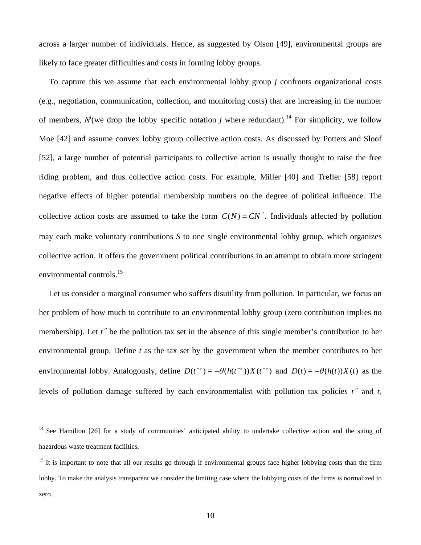across a larger number of individuals. Hence, as suggested by Olson [49], environmental groups are likely to face greater difficulties and costs in forming lobby groups.

To capture this we assume that each environmental lobby group *j* confronts organizational costs (e.g., negotiation, communication, collection, and monitoring costs) that are increasing in the number of members,  $N^{j}$  (we drop the lobby specific notation *j* where redundant).<sup>14</sup> For simplicity, we follow Moe [42] and assume convex lobby group collective action costs. As discussed by Potters and Sloof [52], a large number of potential participants to collective action is usually thought to raise the free riding problem, and thus collective action costs. For example, Miller [40] and Trefler [58] report negative effects of higher potential membership numbers on the degree of political influence. The collective action costs are assumed to take the form  $C(N) = CN^2$ . Individuals affected by pollution may each make voluntary contributions *S* to one single environmental lobby group, which organizes collective action. It offers the government political contributions in an attempt to obtain more stringent environmental controls.<sup>15</sup>

Let us consider a marginal consumer who suffers disutility from pollution. In particular, we focus on her problem of how much to contribute to an environmental lobby group (zero contribution implies no membership). Let  $t^e$  be the pollution tax set in the absence of this single member's contribution to her environmental group. Define *t* as the tax set by the government when the member contributes to her environmental lobby. Analogously, define  $D(t^{-e}) = -\theta(h(t^{-e}))X(t^{-e})$  and  $D(t) = -\theta(h(t))X(t)$  as the levels of pollution damage suffered by each environmentalist with pollution tax policies  $t^e$  and  $t$ ,

<span id="page-9-0"></span><sup>&</sup>lt;sup>14</sup> See Hamilton [26] for a study of communities' anticipated ability to undertake collective action and the siting of hazardous waste treatment facilities.

<span id="page-9-1"></span><sup>&</sup>lt;sup>15</sup> It is important to note that all our results go through if environmental groups face higher lobbying costs than the firm lobby. To make the analysis transparent we consider the limiting case where the lobbying costs of the firms is normalized to zero.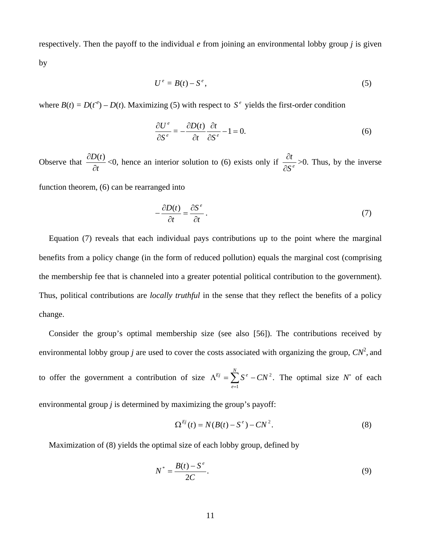respectively. Then the payoff to the individual *e* from joining an environmental lobby group *j* is given

by

$$
U^e = B(t) - S^e, \tag{5}
$$

where  $B(t) = D(t^e) - D(t)$ . Maximizing (5) with respect to  $S^e$  yields the first-order condition

$$
\frac{\partial U^e}{\partial S^e} = -\frac{\partial D(t)}{\partial t} \frac{\partial t}{\partial S^e} - 1 = 0.
$$
 (6)

Observe that *t D t* ∂  $\frac{\partial D(t)}{\partial t}$  <0, hence an interior solution to (6) exists only if  $\frac{\partial t}{\partial S'}$ ∂  $\frac{\partial t}{\partial x^2}$  >0. Thus, by the inverse

function theorem, (6) can be rearranged into

$$
-\frac{\partial D(t)}{\partial t} = \frac{\partial S^e}{\partial t}.
$$
\n(7)

Equation (7) reveals that each individual pays contributions up to the point where the marginal benefits from a policy change (in the form of reduced pollution) equals the marginal cost (comprising the membership fee that is channeled into a greater potential political contribution to the government). Thus, political contributions are *locally truthful* in the sense that they reflect the benefits of a policy change.

Consider the group's optimal membership size (see also [56]). The contributions received by environmental lobby group *j* are used to cover the costs associated with organizing the group,  $CN^2$ , and

to offer the government a contribution of size  $\Lambda^{Ej} = \sum S^e - CN^2$ . The optimal size N 1  $\Lambda^{\textit{Ej}} = \sum_{e=1} S^e - C N^2$ *N e*  $E^j = \sum S^e - CN^2$ . The optimal size N<sup>\*</sup> of each

environmental group *j* is determined by maximizing the group's payoff:

$$
\Omega^{Ej}(t) = N(B(t) - S^e) - CN^2.
$$
 (8)

Maximization of (8) yields the optimal size of each lobby group, defined by

$$
N^* = \frac{B(t) - S^e}{2C}.\tag{9}
$$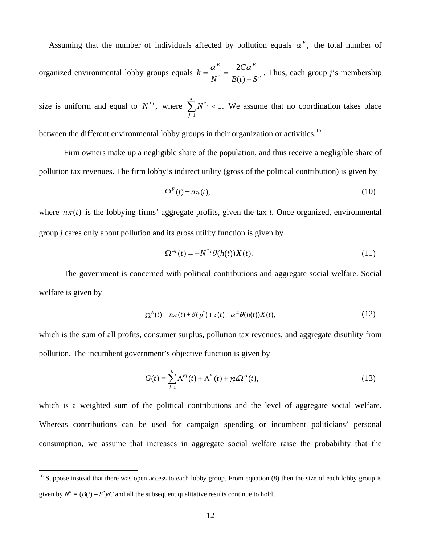Assuming that the number of individuals affected by pollution equals  $\alpha^E$ , the total number of

organized environmental lobby groups equals  $k = \frac{\alpha}{N^*} = \frac{2\alpha}{R(r)}$  $E = \Omega C \omega^E$  $B(t) - S$ *C*  $k = \frac{\alpha^E}{N^*} = \frac{2C\alpha}{B(t)}$  $\frac{\alpha^2}{N^*} = \frac{2C\alpha^2}{R(4) - R^e}$ . Thus, each group *j*'s membership

size is uniform and equal to  $N^{*j}$ , where  $\sum_{j=1}^{k} N^{*j} < 1$ . We assume that no coordination takes place *j*  $N^{*j}$ 1  $i^*j$  < 1.

between the different environmental lobby groups in their organization or activities.<sup>16</sup>

Firm owners make up a negligible share of the population, and thus receive a negligible share of pollution tax revenues. The firm lobby's indirect utility (gross of the political contribution) is given by

$$
\Omega^F(t) = n\pi(t),\tag{10}
$$

where  $n\pi(t)$  is the lobbying firms' aggregate profits, given the tax *t*. Once organized, environmental group *j* cares only about pollution and its gross utility function is given by

$$
\Omega^{Ej}(t) = -N^{*j}\theta(h(t))X(t). \tag{11}
$$

The government is concerned with political contributions and aggregate social welfare. Social welfare is given by

$$
\Omega^{A}(t) \equiv n\pi(t) + \delta(p^*) + \tau(t) - \alpha^{E} \theta(h(t))X(t), \qquad (12)
$$

which is the sum of all profits, consumer surplus, pollution tax revenues, and aggregate disutility from pollution. The incumbent government's objective function is given by

$$
G(t) = \sum_{j=1}^{k} \Lambda^{Ej}(t) + \Lambda^{F}(t) + \gamma \mu \Omega^{A}(t),
$$
\n(13)

which is a weighted sum of the political contributions and the level of aggregate social welfare. Whereas contributions can be used for campaign spending or incumbent politicians' personal consumption, we assume that increases in aggregate social welfare raise the probability that the

<span id="page-11-0"></span><sup>&</sup>lt;sup>16</sup> Suppose instead that there was open access to each lobby group. From equation (8) then the size of each lobby group is given by  $N^{\circ} = (B(t) - S^{\circ})/C$  and all the subsequent qualitative results continue to hold.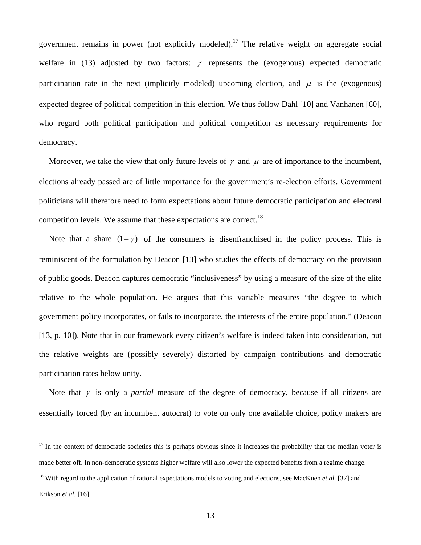government remains in power (not explicitly modeled).<sup>17</sup> The relative weight on aggregate social welfare in (13) adjusted by two factors:  $\gamma$  represents the (exogenous) expected democratic participation rate in the next (implicitly modeled) upcoming election, and  $\mu$  is the (exogenous) expected degree of political competition in this election. We thus follow Dahl [10] and Vanhanen [60], who regard both political participation and political competition as necessary requirements for democracy.

Moreover, we take the view that only future levels of  $\gamma$  and  $\mu$  are of importance to the incumbent, elections already passed are of little importance for the government's re-election efforts. Government politicians will therefore need to form expectations about future democratic participation and electoral competition levels. We assume that these expectations are correct.<sup>18</sup>

Note that a share  $(1 - \gamma)$  of the consumers is disenfranchised in the policy process. This is reminiscent of the formulation by Deacon [13] who studies the effects of democracy on the provision of public goods. Deacon captures democratic "inclusiveness" by using a measure of the size of the elite relative to the whole population. He argues that this variable measures "the degree to which government policy incorporates, or fails to incorporate, the interests of the entire population." (Deacon [13, p. 10]). Note that in our framework every citizen's welfare is indeed taken into consideration, but the relative weights are (possibly severely) distorted by campaign contributions and democratic participation rates below unity.

Note that <sup>γ</sup> is only a *partial* measure of the degree of democracy, because if all citizens are essentially forced (by an incumbent autocrat) to vote on only one available choice, policy makers are

<span id="page-12-0"></span> $17$  In the context of democratic societies this is perhaps obvious since it increases the probability that the median voter is made better off. In non-democratic systems higher welfare will also lower the expected benefits from a regime change.

<span id="page-12-1"></span><sup>&</sup>lt;sup>18</sup> With regard to the application of rational expectations models to voting and elections, see MacKuen *et al.* [37] and Erikson *et al*. [16].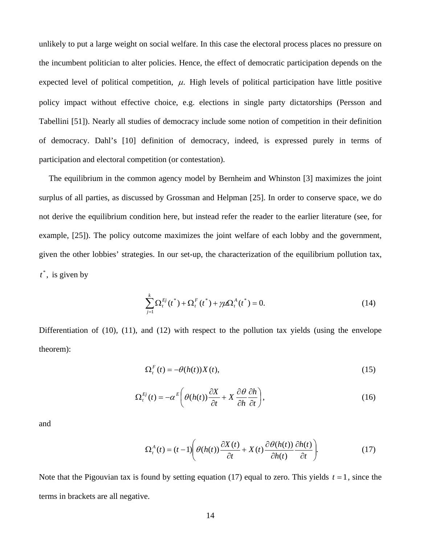unlikely to put a large weight on social welfare. In this case the electoral process places no pressure on the incumbent politician to alter policies. Hence, the effect of democratic participation depends on the expected level of political competition,  $\mu$ . High levels of political participation have little positive policy impact without effective choice, e.g. elections in single party dictatorships (Persson and Tabellini [51]). Nearly all studies of democracy include some notion of competition in their definition of democracy. Dahl's [10] definition of democracy, indeed, is expressed purely in terms of participation and electoral competition (or contestation).

The equilibrium in the common agency model by Bernheim and Whinston [3] maximizes the joint surplus of all parties, as discussed by Grossman and Helpman [25]. In order to conserve space, we do not derive the equilibrium condition here, but instead refer the reader to the earlier literature (see, for example, [25]). The policy outcome maximizes the joint welfare of each lobby and the government, given the other lobbies' strategies. In our set-up, the characterization of the equilibrium pollution tax,  $t^*$ , is given by

$$
\sum_{j=1}^{k} \Omega_t^{Ej}(t^*) + \Omega_t^F(t^*) + \gamma \mu \Omega_t^A(t^*) = 0.
$$
\n(14)

Differentiation of (10), (11), and (12) with respect to the pollution tax yields (using the envelope theorem):

$$
\Omega_t^F(t) = -\theta(h(t))X(t),\tag{15}
$$

$$
\Omega_t^{Ej}(t) = -\alpha^E \left( \theta(h(t)) \frac{\partial X}{\partial t} + X \frac{\partial \theta}{\partial h} \frac{\partial h}{\partial t} \right),\tag{16}
$$

and

$$
\Omega_t^A(t) = (t-1) \left( \theta(h(t)) \frac{\partial X(t)}{\partial t} + X(t) \frac{\partial \theta(h(t))}{\partial h(t)} \frac{\partial h(t)}{\partial t} \right).
$$
 (17)

Note that the Pigouvian tax is found by setting equation  $(17)$  equal to zero. This yields  $t = 1$ , since the terms in brackets are all negative.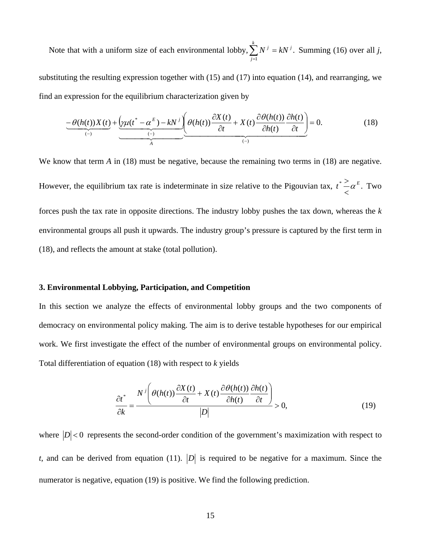Note that with a uniform size of each environmental lobby,  $\sum N^j = kN^j$ . Summing (16) over all *j*, 1  $\sum_{i=1}^{k} M_i^j = I_i M_i^j$ *j*  $\sum_{j=1}^N N^{j} = kN$ 

substituting the resulting expression together with (15) and (17) into equation (14), and rearranging, we find an expression for the equilibrium characterization given by

$$
\underbrace{-\theta(h(t))X(t)}_{(-)} + \underbrace{\left(\gamma\mu(t^* - \alpha^E) - kN^j\right)}_{A} \underbrace{\theta(h(t))\frac{\partial X(t)}{\partial t}}_{(-)} + X(t)\frac{\partial\theta(h(t))}{\partial h(t)}\frac{\partial h(t)}{\partial t} = 0. \tag{18}
$$

We know that term *A* in (18) must be negative, because the remaining two terms in (18) are negative. However, the equilibrium tax rate is indeterminate in size relative to the Pigouvian tax,  $t^* \sim \alpha^E$ .  $\lt$  $\geq \alpha^E$ . Two forces push the tax rate in opposite directions. The industry lobby pushes the tax down, whereas the *k* environmental groups all push it upwards. The industry group's pressure is captured by the first term in (18), and reflects the amount at stake (total pollution).

#### **3. Environmental Lobbying, Participation, and Competition**

In this section we analyze the effects of environmental lobby groups and the two components of democracy on environmental policy making. The aim is to derive testable hypotheses for our empirical work. We first investigate the effect of the number of environmental groups on environmental policy. Total differentiation of equation (18) with respect to *k* yields

$$
\frac{\partial t^*}{\partial k} = \frac{N^j \left(\theta(h(t))\frac{\partial X(t)}{\partial t} + X(t)\frac{\partial \theta(h(t))}{\partial h(t)}\frac{\partial h(t)}{\partial t}\right)}{|D|} > 0,
$$
\n(19)

where  $|D|$  < 0 represents the second-order condition of the government's maximization with respect to *t*, and can be derived from equation (11).  $|D|$  is required to be negative for a maximum. Since the numerator is negative, equation (19) is positive. We find the following prediction.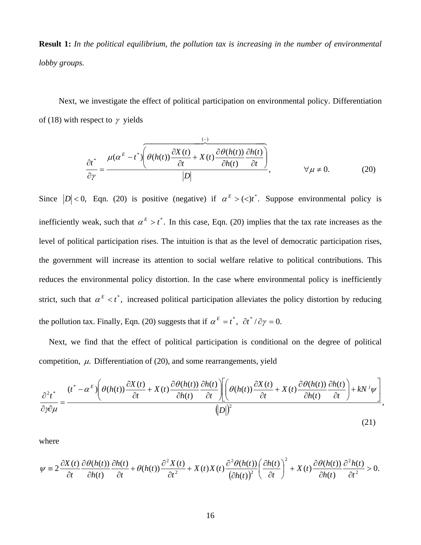**Result 1:** *In the political equilibrium, the pollution tax is increasing in the number of environmental lobby groups.* 

Next, we investigate the effect of political participation on environmental policy. Differentiation of (18) with respect to  $\gamma$  yields

$$
\frac{\partial t^*}{\partial \gamma} = \frac{\mu(\alpha^E - t^*) \left( \theta(h(t)) \frac{\partial X(t)}{\partial t} + X(t) \frac{\partial \theta(h(t))}{\partial h(t)} \frac{\partial h(t)}{\partial t} \right)}{|D|}, \qquad \forall \mu \neq 0.
$$
 (20)

Since  $|D| < 0$ , Eqn. (20) is positive (negative) if  $\alpha^E > \langle \langle t \rangle^*$ . Suppose environmental policy is inefficiently weak, such that  $\alpha^E > t^*$ . In this case, Eqn. (20) implies that the tax rate increases as the level of political participation rises. The intuition is that as the level of democratic participation rises, the government will increase its attention to social welfare relative to political contributions. This reduces the environmental policy distortion. In the case where environmental policy is inefficiently strict, such that  $\alpha^E < t^*$ , increased political participation alleviates the policy distortion by reducing the pollution tax. Finally, Eqn. (20) suggests that if  $\alpha^E = t^*$ ,  $\partial t^* / \partial \gamma = 0$ .

Next, we find that the effect of political participation is conditional on the degree of political competition,  $\mu$ . Differentiation of (20), and some rearrangements, yield

$$
\frac{\partial^2 t^*}{\partial \hat{y} \partial \mu} = \frac{(t^* - \alpha^E) \left( \theta(h(t)) \frac{\partial X(t)}{\partial t} + X(t) \frac{\partial \theta(h(t))}{\partial h(t)} \frac{\partial h(t)}{\partial t} \right) \left( \theta(h(t)) \frac{\partial X(t)}{\partial t} + X(t) \frac{\partial \theta(h(t))}{\partial h(t)} \frac{\partial h(t)}{\partial t} \right) + kN^j \psi}{(D))^2},
$$
\n(21)

where

$$
\psi = 2 \frac{\partial X(t)}{\partial t} \frac{\partial \theta(h(t))}{\partial h(t)} \frac{\partial h(t)}{\partial t} + \theta(h(t)) \frac{\partial^2 X(t)}{\partial t^2} + X(t) X(t) \frac{\partial^2 \theta(h(t))}{(\partial h(t))^2} \left(\frac{\partial h(t)}{\partial t}\right)^2 + X(t) \frac{\partial \theta(h(t))}{\partial h(t)} \frac{\partial^2 h(t)}{\partial t^2} > 0.
$$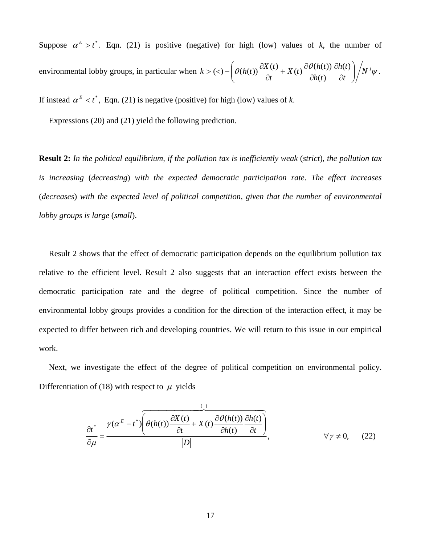Suppose  $\alpha^E > t^*$ . Eqn. (21) is positive (negative) for high (low) values of *k*, the number of environmental lobby groups, in particular when  $k > \left( \langle \rangle - \left( \theta(h(t)) \frac{\partial X(t)}{\partial s} + X(t) \frac{\partial \theta(h(t))}{\partial t} \frac{\partial h(t)}{\partial t} \right) / N^{j} \psi$ .  $(t)$  $\overline{f}( \langle \cdot \rangle - \left( \theta(h(t)) \frac{\partial X(t)}{\partial t} + X(t) \frac{\partial \theta(h(t))}{\partial t} \frac{\partial h(t)}{\partial t} \right) / N^{j} \psi$ *t h t h t*  $X(t) \frac{\partial \theta(h(t))}{\partial t(t)}$  $k > \left( \langle 0 \rangle - \left( \theta(h(t)) \frac{\partial X(t)}{\partial t} + X(t) \frac{\partial \theta(h(t))}{\partial h(t)} \frac{\partial h(t)}{\partial t} \right)$ ⎠ ⎞  $\overline{\phantom{a}}$ ⎝  $\sqrt{2}$ ∂ ∂ ∂  $+ X(t) \frac{\partial}{\partial t}$ ∂  $> (<) - \left( \theta(h(t)) \right)^{\tilde{C}}$ 

If instead  $\alpha^E < t^*$ , Eqn. (21) is negative (positive) for high (low) values of *k*.

Expressions (20) and (21) yield the following prediction.

**Result 2:** *In the political equilibrium, if the pollution tax is inefficiently weak* (*strict*), *the pollution tax is increasing* (*decreasing*) *with the expected democratic participation rate*. *The effect increases* (*decreases*) *with the expected level of political competition, given that the number of environmental lobby groups is large* (*small*).

Result 2 shows that the effect of democratic participation depends on the equilibrium pollution tax relative to the efficient level. Result 2 also suggests that an interaction effect exists between the democratic participation rate and the degree of political competition. Since the number of environmental lobby groups provides a condition for the direction of the interaction effect, it may be expected to differ between rich and developing countries. We will return to this issue in our empirical work.

Next, we investigate the effect of the degree of political competition on environmental policy. Differentiation of (18) with respect to  $\mu$  yields

$$
\frac{\partial t^*}{\partial \mu} = \frac{\gamma(\alpha^E - t^*) \left( \theta(h(t)) \frac{\partial X(t)}{\partial t} + X(t) \frac{\partial \theta(h(t))}{\partial h(t)} \frac{\partial h(t)}{\partial t} \right)}{|D|}, \qquad \forall \gamma \neq 0, \quad (22)
$$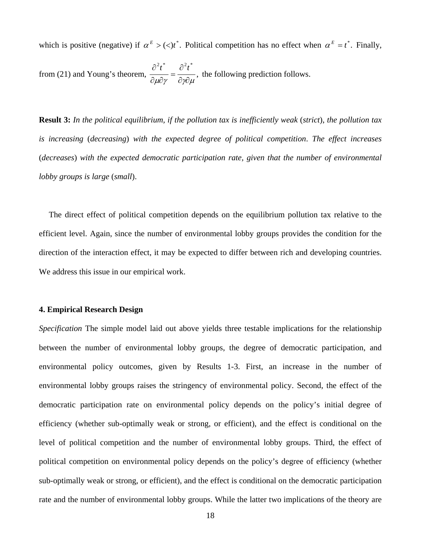which is positive (negative) if  $\alpha^E > (\langle t \rangle^*)$ . Political competition has no effect when  $\alpha^E = t^*$ . Finally,

from (21) and Young's theorem,  $\frac{1}{2} = \frac{1}{2}$ ,  $2_{4}^{*}$   $2_{4}^{*}$  $\frac{\partial^2 t^*}{\partial \mu \partial \gamma} = \frac{\partial^2 t^*}{\partial \gamma \partial \mu}$ the following prediction follows.

**Result 3:** *In the political equilibrium, if the pollution tax is inefficiently weak* (*strict*), *the pollution tax is increasing* (*decreasing*) *with the expected degree of political competition*. *The effect increases*  (*decreases*) *with the expected democratic participation rate, given that the number of environmental lobby groups is large* (*small*).

The direct effect of political competition depends on the equilibrium pollution tax relative to the efficient level. Again, since the number of environmental lobby groups provides the condition for the direction of the interaction effect, it may be expected to differ between rich and developing countries. We address this issue in our empirical work.

#### **4. Empirical Research Design**

*Specification* The simple model laid out above yields three testable implications for the relationship between the number of environmental lobby groups, the degree of democratic participation, and environmental policy outcomes, given by Results 1-3. First, an increase in the number of environmental lobby groups raises the stringency of environmental policy. Second, the effect of the democratic participation rate on environmental policy depends on the policy's initial degree of efficiency (whether sub-optimally weak or strong, or efficient), and the effect is conditional on the level of political competition and the number of environmental lobby groups. Third, the effect of political competition on environmental policy depends on the policy's degree of efficiency (whether sub-optimally weak or strong, or efficient), and the effect is conditional on the democratic participation rate and the number of environmental lobby groups. While the latter two implications of the theory are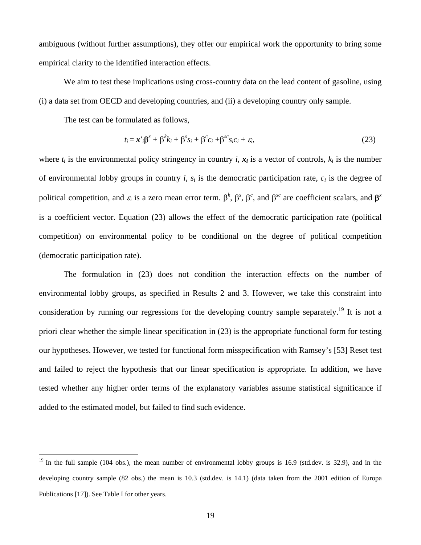ambiguous (without further assumptions), they offer our empirical work the opportunity to bring some empirical clarity to the identified interaction effects.

We aim to test these implications using cross-country data on the lead content of gasoline, using (i) a data set from OECD and developing countries, and (ii) a developing country only sample.

The test can be formulated as follows,

 $\overline{a}$ 

$$
t_i = \mathbf{x}'_i \mathbf{\beta}^x + \mathbf{\beta}^k k_i + \mathbf{\beta}^s s_i + \mathbf{\beta}^c c_i + \mathbf{\beta}^{sc} s_i c_i + \varepsilon_i,
$$
\n(23)

where  $t_i$  is the environmental policy stringency in country  $i, x_i$  is a vector of controls,  $k_i$  is the number of environmental lobby groups in country  $i$ ,  $s_i$  is the democratic participation rate,  $c_i$  is the degree of political competition, and  $\varepsilon_i$  is a zero mean error term.  $\beta^k$ ,  $\beta^s$ ,  $\beta^c$ , and  $\beta^{sc}$  are coefficient scalars, and  $\beta^x$ is a coefficient vector. Equation (23) allows the effect of the democratic participation rate (political competition) on environmental policy to be conditional on the degree of political competition (democratic participation rate).

The formulation in (23) does not condition the interaction effects on the number of environmental lobby groups, as specified in Results 2 and 3. However, we take this constraint into consideration by running our regressions for the developing country sample separately.<sup>19</sup> It is not a priori clear whether the simple linear specification in (23) is the appropriate functional form for testing our hypotheses. However, we tested for functional form misspecification with Ramsey's [53] Reset test and failed to reject the hypothesis that our linear specification is appropriate. In addition, we have tested whether any higher order terms of the explanatory variables assume statistical significance if added to the estimated model, but failed to find such evidence.

<span id="page-18-0"></span> $19$  In the full sample (104 obs.), the mean number of environmental lobby groups is 16.9 (std.dev. is 32.9), and in the developing country sample (82 obs.) the mean is 10.3 (std.dev. is 14.1) (data taken from the 2001 edition of Europa Publications [17]). See Table I for other years.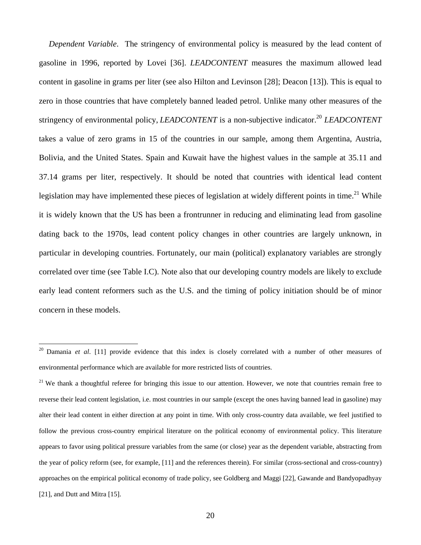*Dependent Variable*. The stringency of environmental policy is measured by the lead content of gasoline in 1996, reported by Lovei [36]. *LEADCONTENT* measures the maximum allowed lead content in gasoline in grams per liter (see also Hilton and Levinson [28]; Deacon [13]). This is equal to zero in those countries that have completely banned leaded petrol. Unlike many other measures of the stringency of environmental policy, *LEADCONTENT* is a non-subjective indicator.<sup>[20](#page-19-0)</sup> *LEADCONTENT* takes a value of zero grams in 15 of the countries in our sample, among them Argentina, Austria, Bolivia, and the United States. Spain and Kuwait have the highest values in the sample at 35.11 and 37.14 grams per liter, respectively. It should be noted that countries with identical lead content legislation may have implemented these pieces of legislation at widely different points in time.<sup>21</sup> While it is widely known that the US has been a frontrunner in reducing and eliminating lead from gasoline dating back to the 1970s, lead content policy changes in other countries are largely unknown, in particular in developing countries. Fortunately, our main (political) explanatory variables are strongly correlated over time (see Table I.C). Note also that our developing country models are likely to exclude early lead content reformers such as the U.S. and the timing of policy initiation should be of minor concern in these models.

<span id="page-19-0"></span><sup>20</sup> Damania *et al*. [11] provide evidence that this index is closely correlated with a number of other measures of environmental performance which are available for more restricted lists of countries.

<span id="page-19-1"></span> $21$  We thank a thoughtful referee for bringing this issue to our attention. However, we note that countries remain free to reverse their lead content legislation, i.e. most countries in our sample (except the ones having banned lead in gasoline) may alter their lead content in either direction at any point in time. With only cross-country data available, we feel justified to follow the previous cross-country empirical literature on the political economy of environmental policy. This literature appears to favor using political pressure variables from the same (or close) year as the dependent variable, abstracting from the year of policy reform (see, for example, [11] and the references therein). For similar (cross-sectional and cross-country) approaches on the empirical political economy of trade policy, see Goldberg and Maggi [22], Gawande and Bandyopadhyay [21], and Dutt and Mitra [15].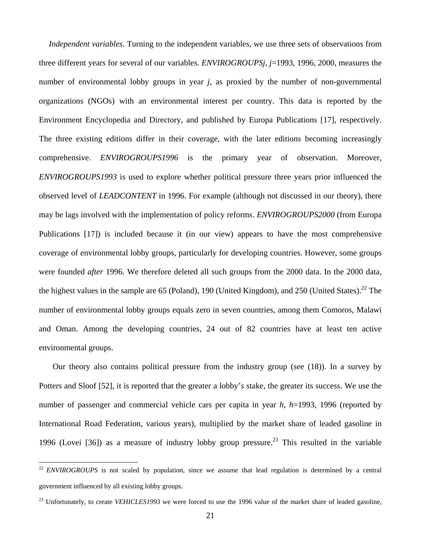<span id="page-20-1"></span>*Independent variables*. Turning to the independent variables, we use three sets of observations from three different years for several of our variables. *ENVIROGROUPSj*, *j*=1993, 1996, 2000, measures the number of environmental lobby groups in year *j*, as proxied by the number of non-governmental organizations (NGOs) with an environmental interest per country. This data is reported by the Environment Encyclopedia and Directory, and published by Europa Publications [17], respectively. The three existing editions differ in their coverage, with the later editions becoming increasingly comprehensive. *ENVIROGROUPS1996* is the primary year of observation. Moreover, *ENVIROGROUPS1993* is used to explore whether political pressure three years prior influenced the observed level of *LEADCONTENT* in 1996. For example (although not discussed in our theory), there may be lags involved with the implementation of policy reforms. *ENVIROGROUPS2000* (from Europa Publications [17]) is included because it (in our view) appears to have the most comprehensive coverage of environmental lobby groups, particularly for developing countries. However, some groups were founded *after* 1996. We therefore deleted all such groups from the 2000 data. In the 2000 data, the highest values in the sample are 65 (Poland), 190 (United Kingdom), and 250 (United States).<sup>22</sup> The number of environmental lobby groups equals zero in seven countries, among them Comoros, Malawi and Oman. Among the developing countries, 24 out of 82 countries have at least ten active environmental groups.

Our theory also contains political pressure from the industry group (see (18)). In a survey by Potters and Sloof [52], it is reported that the greater a lobby's stake, the greater its success. We use the number of passenger and commercial vehicle cars per capita in year *h*, *h*=1993, 1996 (reported by International Road Federation, various years), multiplied by the market share of leaded gasoline in 1996 (Lovei [36]) as a measure of industry lobby group pressure.<sup>23</sup> This resulted in the variable

<span id="page-20-0"></span><sup>&</sup>lt;sup>22</sup> *ENVIROGROUPS* is not scaled by population, since we assume that lead regulation is determined by a central government influenced by all existing lobby groups.

<sup>&</sup>lt;sup>23</sup> Unfortunately, to create *VEHICLES1993* we were forced to use the 1996 value of the market share of leaded gasoline,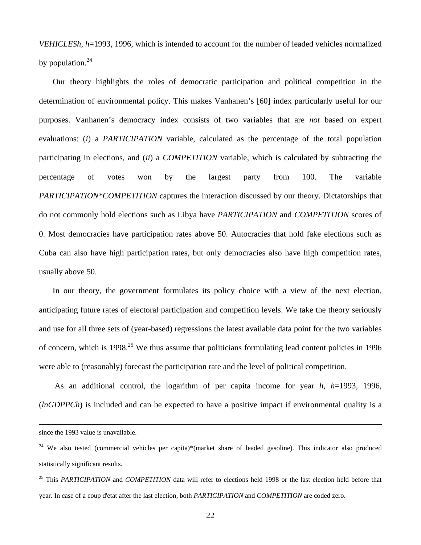*VEHICLESh*, *h*=1993, 1996, which is intended to account for the number of leaded vehicles normalized by population. $^{24}$ 

Our theory highlights the roles of democratic participation and political competition in the determination of environmental policy. This makes Vanhanen's [60] index particularly useful for our purposes. Vanhanen's democracy index consists of two variables that are *not* based on expert evaluations: (*i*) a *PARTICIPATION* variable, calculated as the percentage of the total population participating in elections, and (*ii*) a *COMPETITION* variable, which is calculated by subtracting the percentage of votes won by the largest party from 100. The variable *PARTICIPATION\*COMPETITION* captures the interaction discussed by our theory. Dictatorships that do not commonly hold elections such as Libya have *PARTICIPATION* and *COMPETITION* scores of 0. Most democracies have participation rates above 50. Autocracies that hold fake elections such as Cuba can also have high participation rates, but only democracies also have high competition rates, usually above 50.

In our theory, the government formulates its policy choice with a view of the next election, anticipating future rates of electoral participation and competition levels. We take the theory seriously and use for all three sets of (year-based) regressions the latest available data point for the two variables of concern, which is 1998<sup>25</sup> We thus assume that politicians formulating lead content policies in 1996 were able to (reasonably) forecast the participation rate and the level of political competition.

As an additional control, the logarithm of per capita income for year *h*, *h*=1993, 1996, (*lnGDPPCh*) is included and can be expected to have a positive impact if environmental quality is a

since the 1993 value is unavailable.

<span id="page-21-0"></span><sup>&</sup>lt;sup>24</sup> We also tested (commercial vehicles per capita)\*(market share of leaded gasoline). This indicator also produced statistically significant results.

<span id="page-21-1"></span><sup>25</sup> This *PARTICIPATION* and *COMPETITION* data will refer to elections held 1998 or the last election held before that year. In case of a coup d'etat after the last election, both *PARTICIPATION* and *COMPETITION* are coded zero.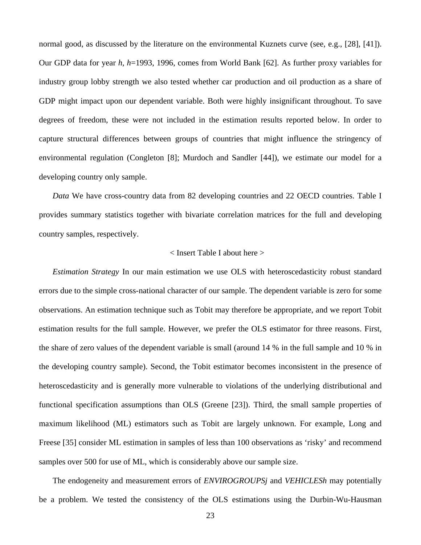normal good, as discussed by the literature on the environmental Kuznets curve (see, e.g., [28], [41]). Our GDP data for year *h*, *h*=1993, 1996, comes from World Bank [62]. As further proxy variables for industry group lobby strength we also tested whether car production and oil production as a share of GDP might impact upon our dependent variable. Both were highly insignificant throughout. To save degrees of freedom, these were not included in the estimation results reported below. In order to capture structural differences between groups of countries that might influence the stringency of environmental regulation (Congleton [8]; Murdoch and Sandler [44]), we estimate our model for a developing country only sample.

*Data* We have cross-country data from 82 developing countries and 22 OECD countries. Table I provides summary statistics together with bivariate correlation matrices for the full and developing country samples, respectively.

#### < Insert Table I about here >

*Estimation Strategy* In our main estimation we use OLS with heteroscedasticity robust standard errors due to the simple cross-national character of our sample. The dependent variable is zero for some observations. An estimation technique such as Tobit may therefore be appropriate, and we report Tobit estimation results for the full sample. However, we prefer the OLS estimator for three reasons. First, the share of zero values of the dependent variable is small (around 14 % in the full sample and 10 % in the developing country sample). Second, the Tobit estimator becomes inconsistent in the presence of heteroscedasticity and is generally more vulnerable to violations of the underlying distributional and functional specification assumptions than OLS (Greene [23]). Third, the small sample properties of maximum likelihood (ML) estimators such as Tobit are largely unknown. For example, Long and Freese [35] consider ML estimation in samples of less than 100 observations as 'risky' and recommend samples over 500 for use of ML, which is considerably above our sample size.

The endogeneity and measurement errors of *ENVIROGROUPSj* and *VEHICLESh* may potentially be a problem. We tested the consistency of the OLS estimations using the Durbin-Wu-Hausman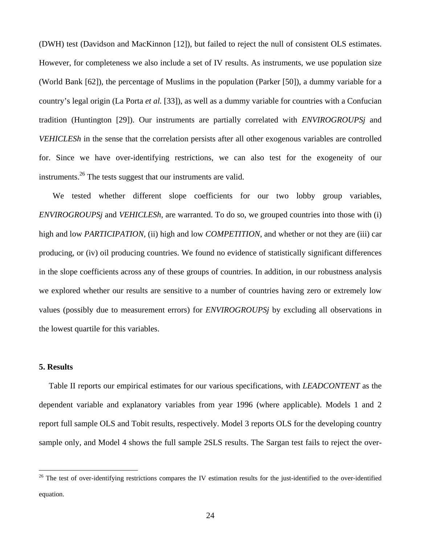(DWH) test (Davidson and MacKinnon [12]), but failed to reject the null of consistent OLS estimates. However, for completeness we also include a set of IV results. As instruments, we use population size (World Bank [62]), the percentage of Muslims in the population (Parker [50]), a dummy variable for a country's legal origin (La Porta *et al.* [33]), as well as a dummy variable for countries with a Confucian tradition (Huntington [29]). Our instruments are partially correlated with *ENVIROGROUPSj* and *VEHICLESh* in the sense that the correlation persists after all other exogenous variables are controlled for. Since we have over-identifying restrictions, we can also test for the exogeneity of our instruments.<sup>26</sup> The tests suggest that our instruments are valid.

We tested whether different slope coefficients for our two lobby group variables, *ENVIROGROUPSj* and *VEHICLESh*, are warranted. To do so, we grouped countries into those with (i) high and low *PARTICIPATION*, (ii) high and low *COMPETITION*, and whether or not they are (iii) car producing, or (iv) oil producing countries. We found no evidence of statistically significant differences in the slope coefficients across any of these groups of countries. In addition, in our robustness analysis we explored whether our results are sensitive to a number of countries having zero or extremely low values (possibly due to measurement errors) for *ENVIROGROUPSj* by excluding all observations in the lowest quartile for this variables.

#### **5. Results**

 $\overline{a}$ 

Table II reports our empirical estimates for our various specifications, with *LEADCONTENT* as the dependent variable and explanatory variables from year 1996 (where applicable). Models 1 and 2 report full sample OLS and Tobit results, respectively. Model 3 reports OLS for the developing country sample only, and Model 4 shows the full sample 2SLS results. The Sargan test fails to reject the over-

<span id="page-23-0"></span> $26$  The test of over-identifying restrictions compares the IV estimation results for the just-identified to the over-identified equation.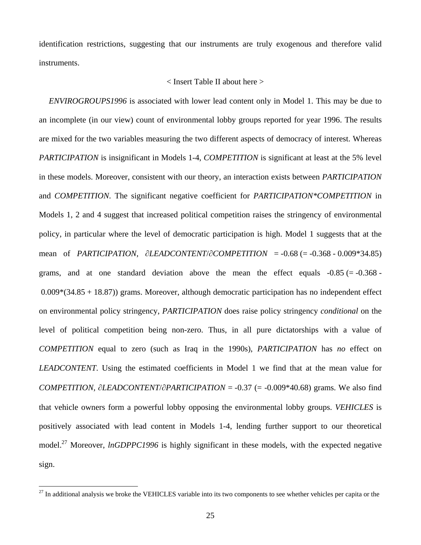<span id="page-24-0"></span>identification restrictions, suggesting that our instruments are truly exogenous and therefore valid instruments.

#### < Insert Table II about here >

*ENVIROGROUPS1996* is associated with lower lead content only in Model 1. This may be due to an incomplete (in our view) count of environmental lobby groups reported for year 1996. The results are mixed for the two variables measuring the two different aspects of democracy of interest. Whereas *PARTICIPATION* is insignificant in Models 1-4, *COMPETITION* is significant at least at the 5% level in these models. Moreover, consistent with our theory, an interaction exists between *PARTICIPATION* and *COMPETITION*. The significant negative coefficient for *PARTICIPATION\*COMPETITION* in Models 1, 2 and 4 suggest that increased political competition raises the stringency of environmental policy, in particular where the level of democratic participation is high. Model 1 suggests that at the mean of *PARTICIPATION*, ∂*LEADCONTENT*/∂*COMPETITION* = -0.68 (= -0.368 - 0.009\*34.85) grams, and at one standard deviation above the mean the effect equals  $-0.85$  (= $-0.368$ ) 0.009\*(34.85 + 18.87)) grams. Moreover, although democratic participation has no independent effect on environmental policy stringency, *PARTICIPATION* does raise policy stringency *conditional* on the level of political competition being non-zero. Thus, in all pure dictatorships with a value of *COMPETITION* equal to zero (such as Iraq in the 1990s), *PARTICIPATION* has *no* effect on *LEADCONTENT*. Using the estimated coefficients in Model 1 we find that at the mean value for *COMPETITION*, ∂*LEADCONTENT*/∂*PARTICIPATION* = -0.37 (= -0.009\*40.68) grams. We also find that vehicle owners form a powerful lobby opposing the environmental lobby groups. *VEHICLES* is positively associated with lead content in Models 1-4, lending further support to our theoretical model.<sup>27</sup> Moreover, *lnGDPPC1996* is highly significant in these models, with the expected negative sign.

 $27$  In additional analysis we broke the VEHICLES variable into its two components to see whether vehicles per capita or the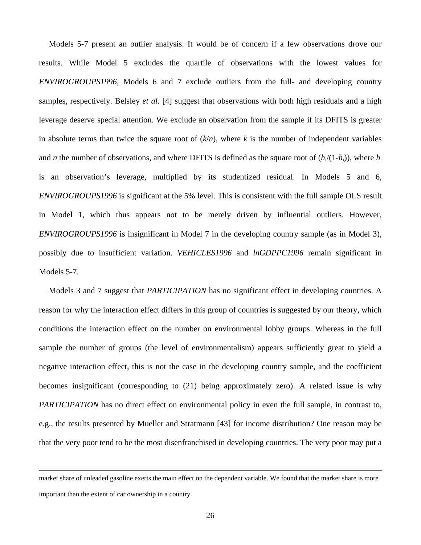Models 5-7 present an outlier analysis. It would be of concern if a few observations drove our results. While Model 5 excludes the quartile of observations with the lowest values for *ENVIROGROUPS1996*, Models 6 and 7 exclude outliers from the full- and developing country samples, respectively. Belsley *et al*. [4] suggest that observations with both high residuals and a high leverage deserve special attention. We exclude an observation from the sample if its DFITS is greater in absolute terms than twice the square root of  $(k/n)$ , where *k* is the number of independent variables and *n* the number of observations, and where DFITS is defined as the square root of  $(h_i/(1-h_i))$ , where  $h_i$ is an observation's leverage, multiplied by its studentized residual. In Models 5 and 6, *ENVIROGROUPS1996* is significant at the 5% level. This is consistent with the full sample OLS result in Model 1, which thus appears not to be merely driven by influential outliers. However, *ENVIROGROUPS1996* is insignificant in Model 7 in the developing country sample (as in Model 3), possibly due to insufficient variation. *VEHICLES1996* and *lnGDPPC1996* remain significant in Models 5-7.

Models 3 and 7 suggest that *PARTICIPATION* has no significant effect in developing countries. A reason for why the interaction effect differs in this group of countries is suggested by our theory, which conditions the interaction effect on the number on environmental lobby groups. Whereas in the full sample the number of groups (the level of environmentalism) appears sufficiently great to yield a negative interaction effect, this is not the case in the developing country sample, and the coefficient becomes insignificant (corresponding to (21) being approximately zero). A related issue is why *PARTICIPATION* has no direct effect on environmental policy in even the full sample, in contrast to, e.g., the results presented by Mueller and Stratmann [43] for income distribution? One reason may be that the very poor tend to be the most disenfranchised in developing countries. The very poor may put a

market share of unleaded gasoline exerts the main effect on the dependent variable. We found that the market share is more important than the extent of car ownership in a country.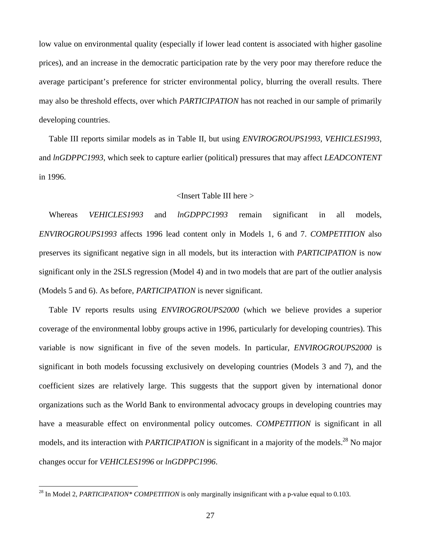low value on environmental quality (especially if lower lead content is associated with higher gasoline prices), and an increase in the democratic participation rate by the very poor may therefore reduce the average participant's preference for stricter environmental policy, blurring the overall results. There may also be threshold effects, over which *PARTICIPATION* has not reached in our sample of primarily developing countries.

Table III reports similar models as in Table II, but using *ENVIROGROUPS1993*, *VEHICLES1993*, and *lnGDPPC1993*, which seek to capture earlier (political) pressures that may affect *LEADCONTENT* in 1996.

#### <Insert Table III here >

Whereas *VEHICLES1993* and *lnGDPPC1993* remain significant in all models, *ENVIROGROUPS1993* affects 1996 lead content only in Models 1, 6 and 7. *COMPETITION* also preserves its significant negative sign in all models, but its interaction with *PARTICIPATION* is now significant only in the 2SLS regression (Model 4) and in two models that are part of the outlier analysis (Models 5 and 6). As before, *PARTICIPATION* is never significant.

Table IV reports results using *ENVIROGROUPS2000* (which we believe provides a superior coverage of the environmental lobby groups active in 1996, particularly for developing countries). This variable is now significant in five of the seven models. In particular, *ENVIROGROUPS2000* is significant in both models focussing exclusively on developing countries (Models 3 and 7), and the coefficient sizes are relatively large. This suggests that the support given by international donor organizations such as the World Bank to environmental advocacy groups in developing countries may have a measurable effect on environmental policy outcomes. *COMPETITION* is significant in all models, and its interaction with *PARTICIPATION* is significant in a majority of the models.<sup>28</sup> No major changes occur for *VEHICLES1996* or *lnGDPPC1996*.

<span id="page-26-0"></span><sup>&</sup>lt;sup>28</sup> In Model 2, *PARTICIPATION\* COMPETITION* is only marginally insignificant with a p-value equal to 0.103.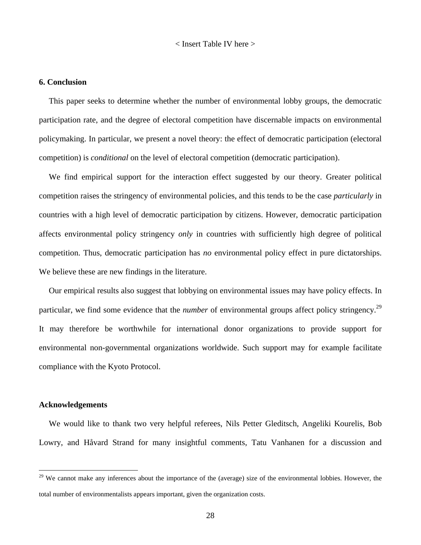< Insert Table IV here >

#### **6. Conclusion**

This paper seeks to determine whether the number of environmental lobby groups, the democratic participation rate, and the degree of electoral competition have discernable impacts on environmental policymaking. In particular, we present a novel theory: the effect of democratic participation (electoral competition) is *conditional* on the level of electoral competition (democratic participation).

We find empirical support for the interaction effect suggested by our theory. Greater political competition raises the stringency of environmental policies, and this tends to be the case *particularly* in countries with a high level of democratic participation by citizens. However, democratic participation affects environmental policy stringency *only* in countries with sufficiently high degree of political competition. Thus, democratic participation has *no* environmental policy effect in pure dictatorships. We believe these are new findings in the literature.

Our empirical results also suggest that lobbying on environmental issues may have policy effects. In particular, we find some evidence that the *number* of environmental groups affect policy stringency.<sup>[29](#page-27-0)</sup> It may therefore be worthwhile for international donor organizations to provide support for environmental non-governmental organizations worldwide. Such support may for example facilitate compliance with the Kyoto Protocol.

## **Acknowledgements**

 $\overline{a}$ 

We would like to thank two very helpful referees, Nils Petter Gleditsch, Angeliki Kourelis, Bob Lowry, and Håvard Strand for many insightful comments, Tatu Vanhanen for a discussion and

<span id="page-27-0"></span> $29$  We cannot make any inferences about the importance of the (average) size of the environmental lobbies. However, the total number of environmentalists appears important, given the organization costs.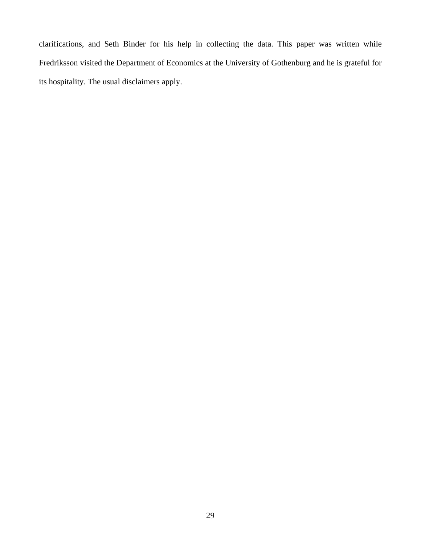clarifications, and Seth Binder for his help in collecting the data. This paper was written while Fredriksson visited the Department of Economics at the University of Gothenburg and he is grateful for its hospitality. The usual disclaimers apply.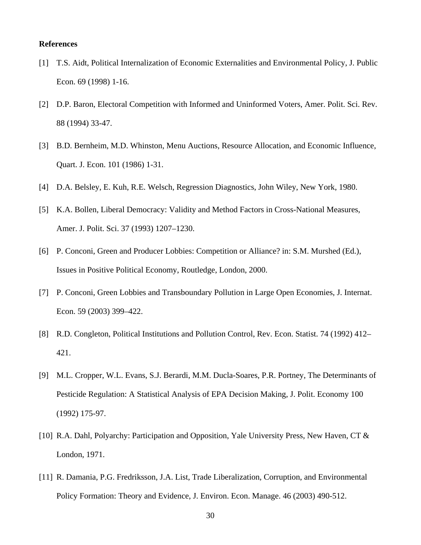#### **References**

- [1] T.S. Aidt, Political Internalization of Economic Externalities and Environmental Policy, J. Public Econ. 69 (1998) 1-16.
- [2] D.P. Baron, Electoral Competition with Informed and Uninformed Voters, Amer. Polit. Sci. Rev. 88 (1994) 33-47.
- [3] B.D. Bernheim, M.D. Whinston, Menu Auctions, Resource Allocation, and Economic Influence, Quart. J. Econ. 101 (1986) 1-31.
- [4] D.A. Belsley, E. Kuh, R.E. Welsch, Regression Diagnostics, John Wiley, New York, 1980.
- [5] K.A. Bollen, Liberal Democracy: Validity and Method Factors in Cross-National Measures, Amer. J. Polit. Sci. 37 (1993) 1207–1230.
- [6] P. Conconi, Green and Producer Lobbies: Competition or Alliance? in: S.M. Murshed (Ed.), Issues in Positive Political Economy, Routledge, London, 2000.
- [7] P. Conconi, Green Lobbies and Transboundary Pollution in Large Open Economies, J. Internat. Econ. 59 (2003) 399–422.
- [8] R.D. Congleton, Political Institutions and Pollution Control, Rev. Econ. Statist. 74 (1992) 412– 421.
- [9] M.L. Cropper, W.L. Evans, S.J. Berardi, M.M. Ducla-Soares, P.R. Portney, The Determinants of Pesticide Regulation: A Statistical Analysis of EPA Decision Making, J. Polit. Economy 100 (1992) 175-97.
- [10] R.A. Dahl, Polyarchy: Participation and Opposition, Yale University Press, New Haven, CT & London, 1971.
- [11] R. Damania, P.G. Fredriksson, J.A. List, Trade Liberalization, Corruption, and Environmental Policy Formation: Theory and Evidence, J. Environ. Econ. Manage. 46 (2003) 490-512.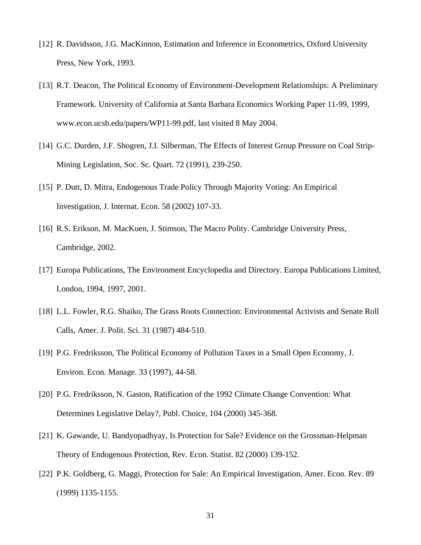- [12] R. Davidsson, J.G. MacKinnon, Estimation and Inference in Econometrics, Oxford University Press, New York, 1993.
- [13] R.T. Deacon, The Political Economy of Environment-Development Relationships: A Preliminary Framework. University of California at Santa Barbara Economics Working Paper 11-99, 1999, www.econ.ucsb.edu/papers/WP11-99.pdf, last visited 8 May 2004.
- [14] G.C. Durden, J.F. Shogren, J.I. Silberman, The Effects of Interest Group Pressure on Coal Strip-Mining Legislation, Soc. Sc. Quart. 72 (1991), 239-250.
- [15] P. Dutt, D. Mitra, Endogenous Trade Policy Through Majority Voting: An Empirical Investigation, J. Internat. Econ. 58 (2002) 107-33.
- [16] R.S. Erikson, M. MacKuen, J. Stimson, The Macro Polity. Cambridge University Press, Cambridge, 2002.
- [17] Europa Publications, The Environment Encyclopedia and Directory. Europa Publications Limited, London, 1994, 1997, 2001.
- [18] L.L. Fowler, R.G. Shaiko, The Grass Roots Connection: Environmental Activists and Senate Roll Calls, Amer. J. Polit. Sci. 31 (1987) 484-510.
- [19] P.G. Fredriksson, The Political Economy of Pollution Taxes in a Small Open Economy, J. Environ. Econ. Manage. 33 (1997), 44-58.
- [20] P.G. Fredriksson, N. Gaston, Ratification of the 1992 Climate Change Convention: What Determines Legislative Delay?, Publ. Choice, 104 (2000) 345-368.
- [21] K. Gawande, U. Bandyopadhyay, Is Protection for Sale? Evidence on the Grossman-Helpman Theory of Endogenous Protection, Rev. Econ. Statist. 82 (2000) 139-152.
- [22] P.K. Goldberg, G. Maggi, Protection for Sale: An Empirical Investigation, Amer. Econ. Rev. 89 (1999) 1135-1155.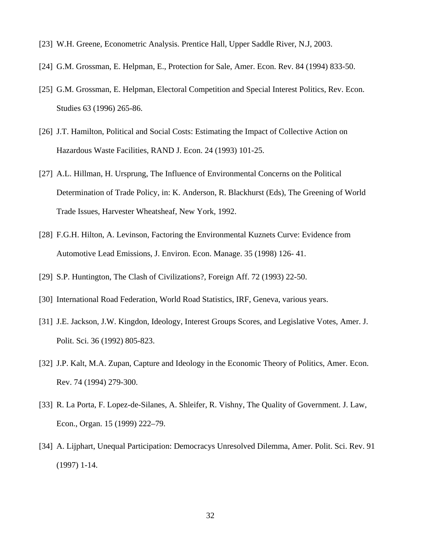- [23] W.H. Greene, Econometric Analysis. Prentice Hall, Upper Saddle River, N.J, 2003.
- [24] G.M. Grossman, E. Helpman, E., Protection for Sale, Amer. Econ. Rev. 84 (1994) 833-50.
- [25] G.M. Grossman, E. Helpman, Electoral Competition and Special Interest Politics, Rev. Econ. Studies 63 (1996) 265-86.
- [26] J.T. Hamilton, Political and Social Costs: Estimating the Impact of Collective Action on Hazardous Waste Facilities, RAND J. Econ. 24 (1993) 101-25.
- [27] A.L. Hillman, H. Ursprung, The Influence of Environmental Concerns on the Political Determination of Trade Policy, in: K. Anderson, R. Blackhurst (Eds), The Greening of World Trade Issues, Harvester Wheatsheaf, New York, 1992.
- [28] F.G.H. Hilton, A. Levinson, Factoring the Environmental Kuznets Curve: Evidence from Automotive Lead Emissions, J. Environ. Econ. Manage. 35 (1998) 126- 41.
- [29] S.P. Huntington, The Clash of Civilizations?, Foreign Aff. 72 (1993) 22-50.
- [30] International Road Federation, World Road Statistics, IRF, Geneva, various years.
- [31] J.E. Jackson, J.W. Kingdon, Ideology, Interest Groups Scores, and Legislative Votes, Amer. J. Polit. Sci. 36 (1992) 805-823.
- [32] J.P. Kalt, M.A. Zupan, Capture and Ideology in the Economic Theory of Politics, Amer. Econ. Rev. 74 (1994) 279-300.
- [33] R. La Porta, F. Lopez-de-Silanes, A. Shleifer, R. Vishny, The Quality of Government. J. Law, Econ., Organ. 15 (1999) 222–79.
- [34] A. Lijphart, Unequal Participation: Democracys Unresolved Dilemma, Amer. Polit. Sci. Rev. 91 (1997) 1-14.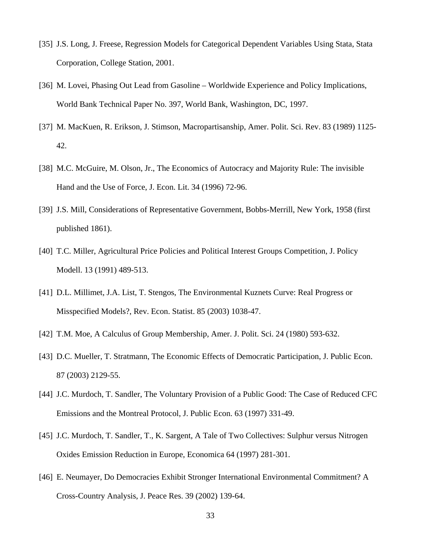- [35] J.S. Long, J. Freese, Regression Models for Categorical Dependent Variables Using Stata, Stata Corporation, College Station, 2001.
- [36] M. Lovei, Phasing Out Lead from Gasoline Worldwide Experience and Policy Implications, World Bank Technical Paper No. 397, World Bank, Washington, DC, 1997.
- [37] M. MacKuen, R. Erikson, J. Stimson, Macropartisanship, Amer. Polit. Sci. Rev. 83 (1989) 1125- 42.
- [38] M.C. McGuire, M. Olson, Jr., The Economics of Autocracy and Majority Rule: The invisible Hand and the Use of Force, J. Econ. Lit. 34 (1996) 72-96.
- [39] J.S. Mill, Considerations of Representative Government, Bobbs-Merrill, New York, 1958 (first published 1861).
- [40] T.C. Miller, Agricultural Price Policies and Political Interest Groups Competition, J. Policy Modell. 13 (1991) 489-513.
- [41] D.L. Millimet, J.A. List, T. Stengos, The Environmental Kuznets Curve: Real Progress or Misspecified Models?, Rev. Econ. Statist. 85 (2003) 1038-47.
- [42] T.M. Moe, A Calculus of Group Membership, Amer. J. Polit. Sci. 24 (1980) 593-632.
- [43] D.C. Mueller, T. Stratmann, The Economic Effects of Democratic Participation, J. Public Econ. 87 (2003) 2129-55.
- [44] J.C. Murdoch, T. Sandler, The Voluntary Provision of a Public Good: The Case of Reduced CFC Emissions and the Montreal Protocol, J. Public Econ. 63 (1997) 331-49.
- [45] J.C. Murdoch, T. Sandler, T., K. Sargent, A Tale of Two Collectives: Sulphur versus Nitrogen Oxides Emission Reduction in Europe, Economica 64 (1997) 281-301.
- [46] E. Neumayer, Do Democracies Exhibit Stronger International Environmental Commitment? A Cross-Country Analysis, J. Peace Res. 39 (2002) 139-64.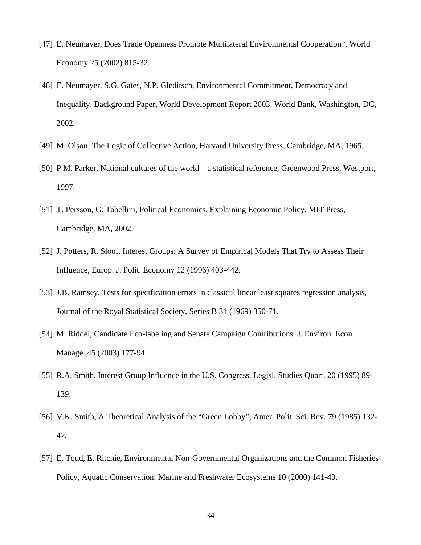- [47] E. Neumayer, Does Trade Openness Promote Multilateral Environmental Cooperation?, World Economy 25 (2002) 815-32.
- [48] E. Neumayer, S.G. Gates, N.P. Gleditsch, Environmental Commitment, Democracy and Inequality. Background Paper, World Development Report 2003. World Bank, Washington, DC, 2002.
- [49] M. Olson, The Logic of Collective Action, Harvard University Press, Cambridge, MA, 1965.
- [50] P.M. Parker, National cultures of the world a statistical reference, Greenwood Press, Westport, 1997.
- [51] T. Persson, G. Tabellini, Political Economics. Explaining Economic Policy, MIT Press, Cambridge, MA, 2002.
- [52] J. Potters, R. Sloof, Interest Groups: A Survey of Empirical Models That Try to Assess Their Influence, Europ. J. Polit. Economy 12 (1996) 403-442.
- [53] J.B. Ramsey, Tests for specification errors in classical linear least squares regression analysis, Journal of the Royal Statistical Society, Series B 31 (1969) 350-71.
- [54] M. Riddel, Candidate Eco-labeling and Senate Campaign Contributions. J. Environ. Econ. Manage. 45 (2003) 177-94.
- [55] R.A. Smith, Interest Group Influence in the U.S. Congress, Legisl. Studies Quart. 20 (1995) 89-139.
- [56] V.K. Smith, A Theoretical Analysis of the "Green Lobby", Amer. Polit. Sci. Rev. 79 (1985) 132-47.
- [57] E. Todd, E. Ritchie, Environmental Non-Governmental Organizations and the Common Fisheries Policy, Aquatic Conservation: Marine and Freshwater Ecosystems 10 (2000) 141-49.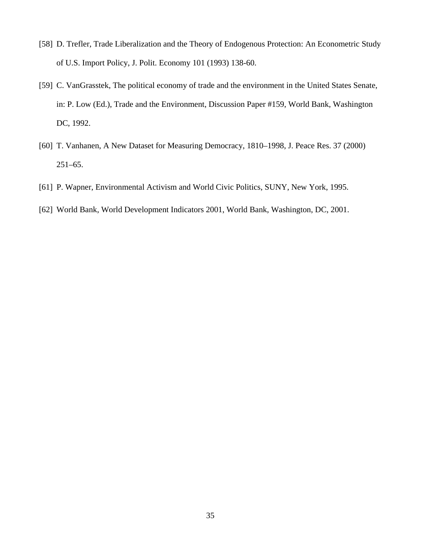- [58] D. Trefler, Trade Liberalization and the Theory of Endogenous Protection: An Econometric Study of U.S. Import Policy, J. Polit. Economy 101 (1993) 138-60.
- [59] C. VanGrasstek, The political economy of trade and the environment in the United States Senate, in: P. Low (Ed.), Trade and the Environment, Discussion Paper #159, World Bank, Washington DC, 1992.
- [60] T. Vanhanen, A New Dataset for Measuring Democracy, 1810–1998, J. Peace Res. 37 (2000) 251–65.
- [61] P. Wapner, Environmental Activism and World Civic Politics, SUNY, New York, 1995.
- [62] World Bank, World Development Indicators 2001, World Bank, Washington, DC, 2001.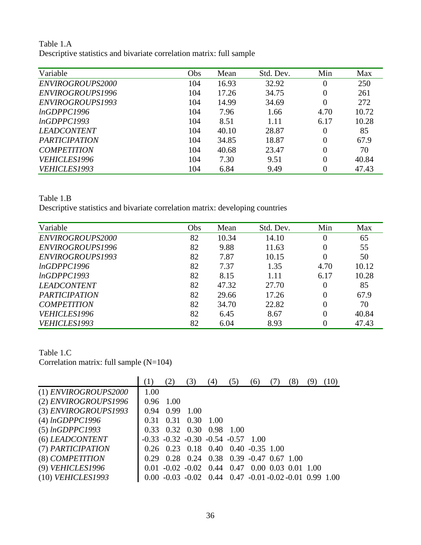Table 1.A Descriptive statistics and bivariate correlation matrix: full sample

| Variable             | Obs | Mean  | Std. Dev. | Min            | Max   |
|----------------------|-----|-------|-----------|----------------|-------|
| ENVIROGROUPS2000     | 104 | 16.93 | 32.92     | $\overline{0}$ | 250   |
| ENVIROGROUPS1996     | 104 | 17.26 | 34.75     | $\overline{0}$ | 261   |
| ENVIROGROUPS1993     | 104 | 14.99 | 34.69     | $\overline{0}$ | 272   |
| lnGDPPC1996          | 104 | 7.96  | 1.66      | 4.70           | 10.72 |
| lnGDPPC1993          | 104 | 8.51  | 1.11      | 6.17           | 10.28 |
| <b>LEADCONTENT</b>   | 104 | 40.10 | 28.87     | $\overline{0}$ | 85    |
| <b>PARTICIPATION</b> | 104 | 34.85 | 18.87     | $\overline{0}$ | 67.9  |
| <b>COMPETITION</b>   | 104 | 40.68 | 23.47     | $\overline{0}$ | 70    |
| VEHICLES1996         | 104 | 7.30  | 9.51      | $\overline{0}$ | 40.84 |
| VEHICLES1993         | 104 | 6.84  | 9.49      | $\overline{0}$ | 47.43 |

Table 1.B

Descriptive statistics and bivariate correlation matrix: developing countries

| Variable             | Obs | Mean  | Std. Dev. | Min            | Max   |
|----------------------|-----|-------|-----------|----------------|-------|
| ENVIROGROUPS2000     | 82  | 10.34 | 14.10     | $\overline{0}$ | 65    |
| ENVIROGROUPS1996     | 82  | 9.88  | 11.63     | $\overline{0}$ | 55    |
| ENVIROGROUPS1993     | 82  | 7.87  | 10.15     | $\overline{0}$ | 50    |
| lnGDPPC1996          | 82  | 7.37  | 1.35      | 4.70           | 10.12 |
| lnGDPPC1993          | 82  | 8.15  | 1.11      | 6.17           | 10.28 |
| <b>LEADCONTENT</b>   | 82  | 47.32 | 27.70     | $\overline{0}$ | 85    |
| <b>PARTICIPATION</b> | 82  | 29.66 | 17.26     | $\overline{0}$ | 67.9  |
| <b>COMPETITION</b>   | 82  | 34.70 | 22.82     | $\overline{0}$ | 70    |
| VEHICLES1996         | 82  | 6.45  | 8.67      | $\overline{0}$ | 40.84 |
| VEHICLES1993         | 82  | 6.04  | 8.93      | 0              | 47.43 |

Table 1.C

Correlation matrix: full sample (N=104)

|                        | $\pm$ |             | 3)                                                          | (4) | (5) |                          |  |  |
|------------------------|-------|-------------|-------------------------------------------------------------|-----|-----|--------------------------|--|--|
| $(1)$ ENVIROGROUPS2000 | 1.00  |             |                                                             |     |     |                          |  |  |
| (2) ENVIROGROUPS1996   |       | $0.96$ 1.00 |                                                             |     |     |                          |  |  |
| $(3)$ ENVIROGROUPS1993 | 0.94  | 0.99        | $-1.00$                                                     |     |     |                          |  |  |
| $(4)$ lnGDPPC1996      | 0.31  |             | $0.31$ $0.30$ $1.00$                                        |     |     |                          |  |  |
| $(5)$ lnGDPPC1993      | 0.33  |             | 0.32 0.30 0.98 1.00                                         |     |     |                          |  |  |
| (6) LEADCONTENT        |       |             | $-0.33$ $-0.32$ $-0.30$ $-0.54$ $-0.57$ $1.00$              |     |     |                          |  |  |
| (7) PARTICIPATION      |       |             | $0.26$ $0.23$ $0.18$ $0.40$ $0.40$ $0.35$ $1.00$            |     |     |                          |  |  |
| (8) COMPETITION        | 0.29  |             | $0.28$ 0.24 0.38 0.39 -0.47 0.67 1.00                       |     |     |                          |  |  |
| (9) VEHICLES1996       |       |             | $0.01 - 0.02 - 0.02$ 0.44 0.47                              |     |     | $0.00\ 0.03\ 0.01\ 1.00$ |  |  |
| $(10)$ VEHICLES1993    |       |             | $-0.03$ $-0.02$ 0.44 0.47 $-0.01$ $-0.02$ $-0.01$ 0.99 1.00 |     |     |                          |  |  |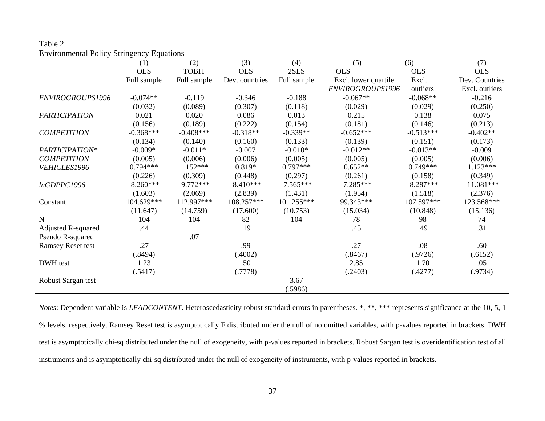| Table 2                                          |
|--------------------------------------------------|
| <b>Environmental Policy Stringency Equations</b> |

|                           | (1)         | (2)          | (3)            | (4)         | (5)                  | (6)         | (7)            |
|---------------------------|-------------|--------------|----------------|-------------|----------------------|-------------|----------------|
|                           | <b>OLS</b>  | <b>TOBIT</b> | <b>OLS</b>     | 2SLS        | <b>OLS</b>           | <b>OLS</b>  | <b>OLS</b>     |
|                           | Full sample | Full sample  | Dev. countries | Full sample | Excl. lower quartile | Excl.       | Dev. Countries |
|                           |             |              |                |             | ENVIROGROUPS1996     | outliers    | Excl. outliers |
| ENVIROGROUPS1996          | $-0.074**$  | $-0.119$     | $-0.346$       | $-0.188$    | $-0.067**$           | $-0.068**$  | $-0.216$       |
|                           | (0.032)     | (0.089)      | (0.307)        | (0.118)     | (0.029)              | (0.029)     | (0.250)        |
| <b>PARTICIPATION</b>      | 0.021       | 0.020        | 0.086          | 0.013       | 0.215                | 0.138       | 0.075          |
|                           | (0.156)     | (0.189)      | (0.222)        | (0.154)     | (0.181)              | (0.146)     | (0.213)        |
| <b>COMPETITION</b>        | $-0.368***$ | $-0.408***$  | $-0.318**$     | $-0.339**$  | $-0.652***$          | $-0.513***$ | $-0.402**$     |
|                           | (0.134)     | (0.140)      | (0.160)        | (0.133)     | (0.139)              | (0.151)     | (0.173)        |
| PARTICIPATION*            | $-0.009*$   | $-0.011*$    | $-0.007$       | $-0.010*$   | $-0.012**$           | $-0.013**$  | $-0.009$       |
| <b>COMPETITION</b>        | (0.005)     | (0.006)      | (0.006)        | (0.005)     | (0.005)              | (0.005)     | (0.006)        |
| VEHICLES1996              | $0.794***$  | $1.152***$   | $0.819*$       | $0.797***$  | $0.652**$            | $0.749***$  | $1.123***$     |
|                           | (0.226)     | (0.309)      | (0.448)        | (0.297)     | (0.261)              | (0.158)     | (0.349)        |
| lnGDPPC1996               | $-8.260***$ | $-9.772***$  | $-8.410***$    | $-7.565***$ | $-7.285***$          | $-8.287***$ | $-11.081***$   |
|                           | (1.603)     | (2.069)      | (2.839)        | (1.431)     | (1.954)              | (1.518)     | (2.376)        |
| Constant                  | 104.629***  | 112.997***   | 108.257***     | 101.255***  | 99.343***            | 107.597***  | 123.568***     |
|                           | (11.647)    | (14.759)     | (17.600)       | (10.753)    | (15.034)             | (10.848)    | (15.136)       |
| $\mathbf N$               | 104         | 104          | 82             | 104         | 78                   | 98          | 74             |
| <b>Adjusted R-squared</b> | .44         |              | .19            |             | .45                  | .49         | .31            |
| Pseudo R-squared          |             | .07          |                |             |                      |             |                |
| <b>Ramsey Reset test</b>  | .27         |              | .99            |             | .27                  | .08         | .60            |
|                           | (.8494)     |              | (.4002)        |             | (.8467)              | (.9726)     | (.6152)        |
| DWH test                  | 1.23        |              | .50            |             | 2.85                 | 1.70        | .05            |
|                           | (.5417)     |              | (.7778)        |             | (.2403)              | (.4277)     | (.9734)        |
| Robust Sargan test        |             |              |                | 3.67        |                      |             |                |
|                           |             |              |                | (.5986)     |                      |             |                |

*Notes*: Dependent variable is *LEADCONTENT*. Heteroscedasticity robust standard errors in parentheses. \*, \*\*, \*\*\* represents significance at the 10, 5, 1 % levels, respectively. Ramsey Reset test is asymptotically F distributed under the null of no omitted variables, with p-values reported in brackets. DWH test is asymptotically chi-sq distributed under the null of exogeneity, with p-values reported in brackets. Robust Sargan test is overidentification test of all instruments and is asymptotically chi-sq distributed under the null of exogeneity of instruments, with p-values reported in brackets.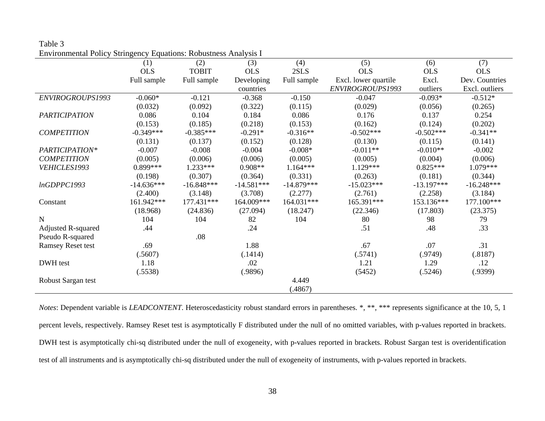| Table 3                                                          |  |
|------------------------------------------------------------------|--|
| Environmental Policy Stringency Equations: Robustness Analysis I |  |

|                          | (1)          | (2)          | (3)          | (4)          | (5)                  | (6)          | (7)            |
|--------------------------|--------------|--------------|--------------|--------------|----------------------|--------------|----------------|
|                          | <b>OLS</b>   | <b>TOBIT</b> | <b>OLS</b>   | 2SLS         | <b>OLS</b>           | <b>OLS</b>   | <b>OLS</b>     |
|                          | Full sample  | Full sample  | Developing   | Full sample  | Excl. lower quartile | Excl.        | Dev. Countries |
|                          |              |              | countries    |              | ENVIROGROUPS1993     | outliers     | Excl. outliers |
| ENVIROGROUPS1993         | $-0.060*$    | $-0.121$     | $-0.368$     | $-0.150$     | $-0.047$             | $-0.093*$    | $-0.512*$      |
|                          | (0.032)      | (0.092)      | (0.322)      | (0.115)      | (0.029)              | (0.056)      | (0.265)        |
| <b>PARTICIPATION</b>     | 0.086        | 0.104        | 0.184        | 0.086        | 0.176                | 0.137        | 0.254          |
|                          | (0.153)      | (0.185)      | (0.218)      | (0.153)      | (0.162)              | (0.124)      | (0.202)        |
| <b>COMPETITION</b>       | $-0.349***$  | $-0.385***$  | $-0.291*$    | $-0.316**$   | $-0.502***$          | $-0.502***$  | $-0.341**$     |
|                          | (0.131)      | (0.137)      | (0.152)      | (0.128)      | (0.130)              | (0.115)      | (0.141)        |
| PARTICIPATION*           | $-0.007$     | $-0.008$     | $-0.004$     | $-0.008*$    | $-0.011**$           | $-0.010**$   | $-0.002$       |
| <b>COMPETITION</b>       | (0.005)      | (0.006)      | (0.006)      | (0.005)      | (0.005)              | (0.004)      | (0.006)        |
| VEHICLES1993             | $0.899***$   | $1.233***$   | 0.908**      | $1.164***$   | $1.129***$           | $0.825***$   | 1.079***       |
|                          | (0.198)      | (0.307)      | (0.364)      | (0.331)      | (0.263)              | (0.181)      | (0.344)        |
| lnGDPPC1993              | $-14.636***$ | $-16.848***$ | $-14.581***$ | $-14.879***$ | $-15.023***$         | $-13.197***$ | $-16.248***$   |
|                          | (2.400)      | (3.148)      | (3.708)      | (2.277)      | (2.761)              | (2.258)      | (3.184)        |
| Constant                 | 161.942***   | 177.431***   | 164.009***   | 164.031***   | 165.391***           | 153.136***   | 177.100***     |
|                          | (18.968)     | (24.836)     | (27.094)     | (18.247)     | (22.346)             | (17.803)     | (23.375)       |
| N                        | 104          | 104          | 82           | 104          | 80                   | 98           | 79             |
| Adjusted R-squared       | .44          |              | .24          |              | .51                  | .48          | .33            |
| Pseudo R-squared         |              | .08          |              |              |                      |              |                |
| <b>Ramsey Reset test</b> | .69          |              | 1.88         |              | .67                  | .07          | .31            |
|                          | (.5607)      |              | (.1414)      |              | (.5741)              | (.9749)      | (.8187)        |
| DWH test                 | 1.18         |              | .02          |              | 1.21                 | 1.29         | .12            |
|                          | (.5538)      |              | (.9896)      |              | (5452)               | (.5246)      | (.9399)        |
| Robust Sargan test       |              |              |              | 4.449        |                      |              |                |
|                          |              |              |              | (.4867)      |                      |              |                |

*Notes*: Dependent variable is *LEADCONTENT*. Heteroscedasticity robust standard errors in parentheses. \*, \*\*, \*\*\* represents significance at the 10, 5, 1 percent levels, respectively. Ramsey Reset test is asymptotically F distributed under the null of no omitted variables, with p-values reported in brackets. DWH test is asymptotically chi-sq distributed under the null of exogeneity, with p-values reported in brackets. Robust Sargan test is overidentification test of all instruments and is asymptotically chi-sq distributed under the null of exogeneity of instruments, with p-values reported in brackets.